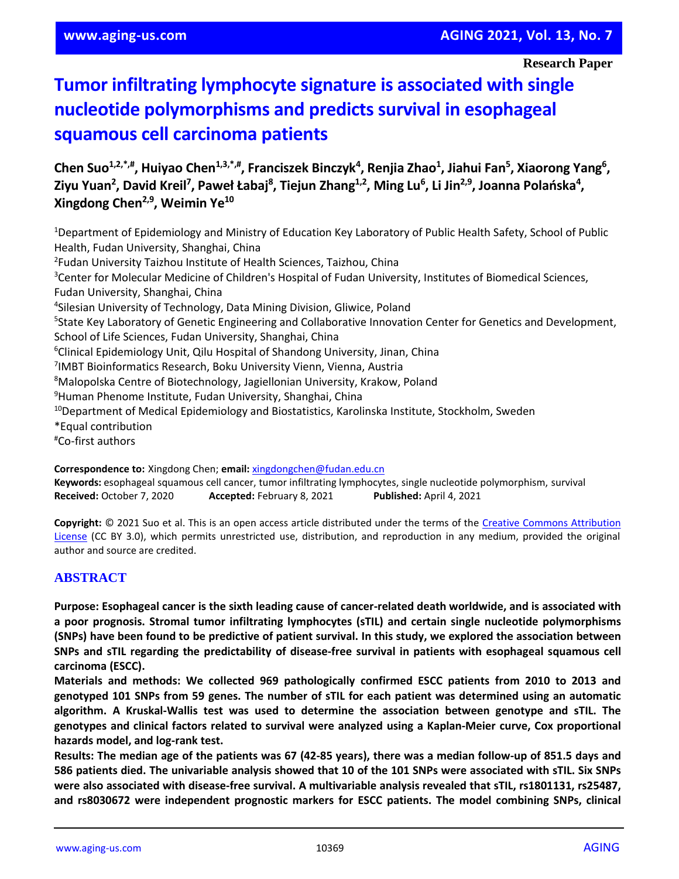#### **Research Paper**

# **Tumor infiltrating lymphocyte signature is associated with single nucleotide polymorphisms and predicts survival in esophageal squamous cell carcinoma patients**

**Chen Suo1,2,\*,#, Huiyao Chen1,3,\*,#, Franciszek Binczyk<sup>4</sup> , Renjia Zhao<sup>1</sup> , Jiahui Fan<sup>5</sup> , Xiaorong Yang<sup>6</sup> , Ziyu Yuan<sup>2</sup> , David Kreil<sup>7</sup> , Paweł Łabaj<sup>8</sup> , Tiejun Zhang1,2, Ming Lu<sup>6</sup> , Li Jin2,9, Joanna Polańska<sup>4</sup> , Xingdong Chen2,9, Weimin Ye<sup>10</sup>**

<sup>1</sup>Department of Epidemiology and Ministry of Education Key Laboratory of Public Health Safety, School of Public Health, Fudan University, Shanghai, China 2 Fudan University Taizhou Institute of Health Sciences, Taizhou, China <sup>3</sup>Center for Molecular Medicine of Children's Hospital of Fudan University, Institutes of Biomedical Sciences, Fudan University, Shanghai, China 4 Silesian University of Technology, Data Mining Division, Gliwice, Poland <sup>5</sup>State Key Laboratory of Genetic Engineering and Collaborative Innovation Center for Genetics and Development, School of Life Sciences, Fudan University, Shanghai, China <sup>6</sup>Clinical Epidemiology Unit, Qilu Hospital of Shandong University, Jinan, China 7 IMBT Bioinformatics Research, Boku University Vienn, Vienna, Austria <sup>8</sup>Malopolska Centre of Biotechnology, Jagiellonian University, Krakow, Poland <sup>9</sup>Human Phenome Institute, Fudan University, Shanghai, China <sup>10</sup>Department of Medical Epidemiology and Biostatistics, Karolinska Institute, Stockholm, Sweden \*Equal contribution #Co-first authors **Correspondence to:** Xingdong Chen; **email:** [xingdongchen@fudan.edu.cn](mailto:xingdongchen@fudan.edu.cn)

**Keywords:** esophageal squamous cell cancer, tumor infiltrating lymphocytes, single nucleotide polymorphism, survival **Received:** October 7, 2020 **Accepted:** February 8, 2021 **Published:** April 4, 2021

**Copyright:** © 2021 Suo et al. This is an open access article distributed under the terms of the [Creative Commons Attribution](https://creativecommons.org/licenses/by/3.0/)  [License](https://creativecommons.org/licenses/by/3.0/) (CC BY 3.0), which permits unrestricted use, distribution, and reproduction in any medium, provided the original author and source are credited.

#### **ABSTRACT**

**Purpose: Esophageal cancer is the sixth leading cause of cancer-related death worldwide, and is associated with a poor prognosis. Stromal tumor infiltrating lymphocytes (sTIL) and certain single nucleotide polymorphisms** (SNPs) have been found to be predictive of patient survival. In this study, we explored the association between **SNPs and sTIL regarding the predictability of disease-free survival in patients with esophageal squamous cell carcinoma (ESCC).**

**Materials and methods: We collected 969 pathologically confirmed ESCC patients from 2010 to 2013 and** genotyped 101 SNPs from 59 genes. The number of sTIL for each patient was determined using an automatic **algorithm. A Kruskal-Wallis test was used to determine the association between genotype and sTIL. The genotypes and clinical factors related to survival were analyzed using a Kaplan-Meier curve, Cox proportional hazards model, and log-rank test.**

Results: The median age of the patients was 67 (42-85 years), there was a median follow-up of 851.5 days and 586 patients died. The univariable analysis showed that 10 of the 101 SNPs were associated with sTIL. Six SNPs **were also associated with disease-free survival. A multivariable analysis revealed that sTIL, rs1801131, rs25487, and rs8030672 were independent prognostic markers for ESCC patients. The model combining SNPs, clinical**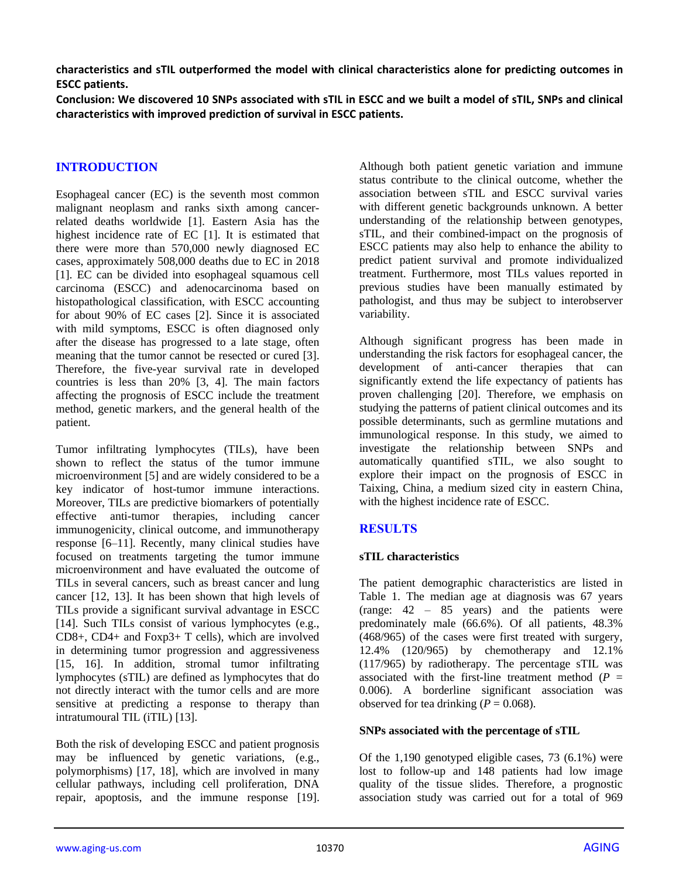**characteristics and sTIL outperformed the model with clinical characteristics alone for predicting outcomes in ESCC patients.**

Conclusion: We discovered 10 SNPs associated with sTIL in ESCC and we built a model of sTIL. SNPs and clinical **characteristics with improved prediction of survival in ESCC patients.**

## **INTRODUCTION**

Esophageal cancer (EC) is the seventh most common malignant neoplasm and ranks sixth among cancerrelated deaths worldwide [1]. Eastern Asia has the highest incidence rate of EC [1]. It is estimated that there were more than 570,000 newly diagnosed EC cases, approximately 508,000 deaths due to EC in 2018 [1]. EC can be divided into esophageal squamous cell carcinoma (ESCC) and adenocarcinoma based on histopathological classification, with ESCC accounting for about 90% of EC cases [2]. Since it is associated with mild symptoms, ESCC is often diagnosed only after the disease has progressed to a late stage, often meaning that the tumor cannot be resected or cured [3]. Therefore, the five-year survival rate in developed countries is less than 20% [3, 4]. The main factors affecting the prognosis of ESCC include the treatment method, genetic markers, and the general health of the patient.

Tumor infiltrating lymphocytes (TILs), have been shown to reflect the status of the tumor immune microenvironment [5] and are widely considered to be a key indicator of host-tumor immune interactions. Moreover, TILs are predictive biomarkers of potentially effective anti-tumor therapies, including cancer immunogenicity, clinical outcome, and immunotherapy response [6–11]. Recently, many clinical studies have focused on treatments targeting the tumor immune microenvironment and have evaluated the outcome of TILs in several cancers, such as breast cancer and lung cancer [12, 13]. It has been shown that high levels of TILs provide a significant survival advantage in ESCC [14]. Such TILs consist of various lymphocytes (e.g., CD8+, CD4+ and Foxp3+ T cells), which are involved in determining tumor progression and aggressiveness [15, 16]. In addition, stromal tumor infiltrating lymphocytes (sTIL) are defined as lymphocytes that do not directly interact with the tumor cells and are more sensitive at predicting a response to therapy than intratumoural TIL (iTIL) [13].

Both the risk of developing ESCC and patient prognosis may be influenced by genetic variations, (e.g., polymorphisms) [17, 18], which are involved in many cellular pathways, including cell proliferation, DNA repair, apoptosis, and the immune response [19].

Although both patient genetic variation and immune status contribute to the clinical outcome, whether the association between sTIL and ESCC survival varies with different genetic backgrounds unknown. A better understanding of the relationship between genotypes, sTIL, and their combined-impact on the prognosis of ESCC patients may also help to enhance the ability to predict patient survival and promote individualized treatment. Furthermore, most TILs values reported in previous studies have been manually estimated by pathologist, and thus may be subject to interobserver variability.

Although significant progress has been made in understanding the risk factors for esophageal cancer, the development of anti-cancer therapies that can significantly extend the life expectancy of patients has proven challenging [20]. Therefore, we emphasis on studying the patterns of patient clinical outcomes and its possible determinants, such as germline mutations and immunological response. In this study, we aimed to investigate the relationship between SNPs and automatically quantified sTIL, we also sought to explore their impact on the prognosis of ESCC in Taixing, China, a medium sized city in eastern China, with the highest incidence rate of ESCC.

## **RESULTS**

## **sTIL characteristics**

The patient demographic characteristics are listed in Table 1. The median age at diagnosis was 67 years (range: 42 – 85 years) and the patients were predominately male (66.6%). Of all patients, 48.3% (468/965) of the cases were first treated with surgery, 12.4% (120/965) by chemotherapy and 12.1% (117/965) by radiotherapy. The percentage sTIL was associated with the first-line treatment method  $(P =$ 0.006). A borderline significant association was observed for tea drinking  $(P = 0.068)$ .

#### **SNPs associated with the percentage of sTIL**

Of the 1,190 genotyped eligible cases, 73 (6.1%) were lost to follow-up and 148 patients had low image quality of the tissue slides. Therefore, a prognostic association study was carried out for a total of 969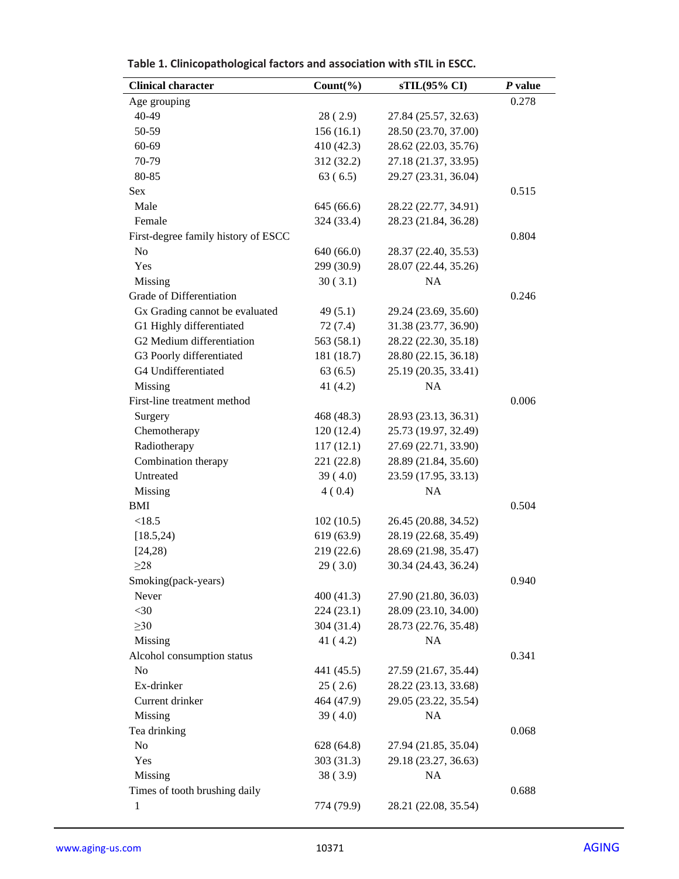| <b>Clinical character</b>           | $Count(\% )$ | sTIL(95% CI)         | P value |
|-------------------------------------|--------------|----------------------|---------|
| Age grouping                        |              |                      | 0.278   |
| 40-49                               | 28(2.9)      | 27.84 (25.57, 32.63) |         |
| 50-59                               | 156(16.1)    | 28.50 (23.70, 37.00) |         |
| 60-69                               | 410 (42.3)   | 28.62 (22.03, 35.76) |         |
| 70-79                               | 312 (32.2)   | 27.18 (21.37, 33.95) |         |
| 80-85                               | 63(6.5)      | 29.27 (23.31, 36.04) |         |
| Sex                                 |              |                      | 0.515   |
| Male                                | 645 (66.6)   | 28.22 (22.77, 34.91) |         |
| Female                              | 324 (33.4)   | 28.23 (21.84, 36.28) |         |
| First-degree family history of ESCC |              |                      | 0.804   |
| N <sub>o</sub>                      | 640 (66.0)   | 28.37 (22.40, 35.53) |         |
| Yes                                 | 299 (30.9)   | 28.07 (22.44, 35.26) |         |
| Missing                             | 30(3.1)      | <b>NA</b>            |         |
| Grade of Differentiation            |              |                      | 0.246   |
| Gx Grading cannot be evaluated      | 49(5.1)      | 29.24 (23.69, 35.60) |         |
| G1 Highly differentiated            | 72(7.4)      | 31.38 (23.77, 36.90) |         |
| G2 Medium differentiation           | 563 (58.1)   | 28.22 (22.30, 35.18) |         |
| G3 Poorly differentiated            | 181 (18.7)   | 28.80 (22.15, 36.18) |         |
| G4 Undifferentiated                 | 63(6.5)      | 25.19 (20.35, 33.41) |         |
| Missing                             | 41 $(4.2)$   | <b>NA</b>            |         |
| First-line treatment method         |              |                      | 0.006   |
| Surgery                             | 468 (48.3)   | 28.93 (23.13, 36.31) |         |
| Chemotherapy                        | 120(12.4)    | 25.73 (19.97, 32.49) |         |
| Radiotherapy                        | 117(12.1)    | 27.69 (22.71, 33.90) |         |
| Combination therapy                 | 221 (22.8)   | 28.89 (21.84, 35.60) |         |
| Untreated                           | 39(4.0)      | 23.59 (17.95, 33.13) |         |
| Missing                             | 4(0.4)       | NA                   |         |
| <b>BMI</b>                          |              |                      | 0.504   |
| < 18.5                              | 102(10.5)    | 26.45 (20.88, 34.52) |         |
| [18.5, 24]                          | 619(63.9)    | 28.19 (22.68, 35.49) |         |
| [24,28)                             | 219 (22.6)   | 28.69 (21.98, 35.47) |         |
| $\geq$ 28                           | 29(3.0)      | 30.34 (24.43, 36.24) |         |
| Smoking(pack-years)                 |              |                      | 0.940   |
| Never                               | 400 (41.3)   | 27.90 (21.80, 36.03) |         |
| $<$ 30                              | 224 (23.1)   | 28.09 (23.10, 34.00) |         |
| $\geq 30$                           | 304 (31.4)   | 28.73 (22.76, 35.48) |         |
| Missing                             | 41(4.2)      | NA                   |         |
| Alcohol consumption status          |              |                      | 0.341   |
| No                                  | 441 (45.5)   | 27.59 (21.67, 35.44) |         |
| Ex-drinker                          | 25(2.6)      | 28.22 (23.13, 33.68) |         |
| Current drinker                     | 464 (47.9)   | 29.05 (23.22, 35.54) |         |
| Missing                             | 39(4.0)      | <b>NA</b>            |         |
| Tea drinking                        |              |                      | 0.068   |
| No                                  | 628 (64.8)   | 27.94 (21.85, 35.04) |         |
| Yes                                 | 303 (31.3)   | 29.18 (23.27, 36.63) |         |
| Missing                             | 38(3.9)      | NA                   |         |
| Times of tooth brushing daily       |              |                      | 0.688   |
| 1                                   | 774 (79.9)   | 28.21 (22.08, 35.54) |         |

**Table 1. Clinicopathological factors and association with sTIL in ESCC.**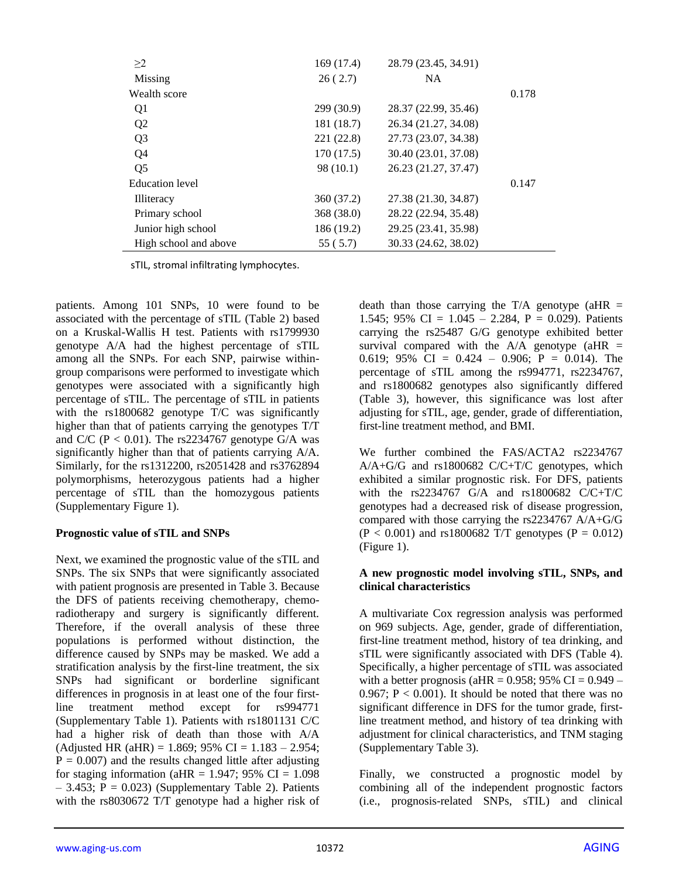| >2                    | 169 (17.4) | 28.79 (23.45, 34.91) |       |
|-----------------------|------------|----------------------|-------|
| Missing               | 26(2.7)    | <b>NA</b>            |       |
| Wealth score          |            |                      | 0.178 |
| Q1                    | 299 (30.9) | 28.37 (22.99, 35.46) |       |
| Q <sub>2</sub>        | 181 (18.7) | 26.34 (21.27, 34.08) |       |
| Q <sub>3</sub>        | 221 (22.8) | 27.73 (23.07, 34.38) |       |
| Q4                    | 170 (17.5) | 30.40 (23.01, 37.08) |       |
| Q <sub>5</sub>        | 98 (10.1)  | 26.23 (21.27, 37.47) |       |
| Education level       |            |                      | 0.147 |
| <b>Illiteracy</b>     | 360 (37.2) | 27.38 (21.30, 34.87) |       |
| Primary school        | 368 (38.0) | 28.22 (22.94, 35.48) |       |
| Junior high school    | 186 (19.2) | 29.25 (23.41, 35.98) |       |
| High school and above | 55 (5.7)   | 30.33 (24.62, 38.02) |       |

sTIL, stromal infiltrating lymphocytes.

patients. Among 101 SNPs, 10 were found to be associated with the percentage of sTIL (Table 2) based on a Kruskal-Wallis H test. Patients with rs1799930 genotype A/A had the highest percentage of sTIL among all the SNPs. For each SNP, pairwise withingroup comparisons were performed to investigate which genotypes were associated with a significantly high percentage of sTIL. The percentage of sTIL in patients with the rs1800682 genotype T/C was significantly higher than that of patients carrying the genotypes T/T and C/C ( $P < 0.01$ ). The rs2234767 genotype G/A was significantly higher than that of patients carrying A/A. Similarly, for the rs1312200, rs2051428 and rs3762894 polymorphisms, heterozygous patients had a higher percentage of sTIL than the homozygous patients (Supplementary Figure 1).

#### **Prognostic value of sTIL and SNPs**

Next, we examined the prognostic value of the sTIL and SNPs. The six SNPs that were significantly associated with patient prognosis are presented in Table 3. Because the DFS of patients receiving chemotherapy, chemoradiotherapy and surgery is significantly different. Therefore, if the overall analysis of these three populations is performed without distinction, the difference caused by SNPs may be masked. We add a stratification analysis by the first-line treatment, the six SNPs had significant or borderline significant differences in prognosis in at least one of the four firstline treatment method except for rs994771 (Supplementary Table 1). Patients with rs1801131 C/C had a higher risk of death than those with A/A (Adjusted HR (aHR) = 1.869; 95% CI = 1.183 – 2.954;  $P = 0.007$ ) and the results changed little after adjusting for staging information (aHR = 1.947; 95% CI =  $1.098$ )  $-3.453$ ; P = 0.023) (Supplementary Table 2). Patients with the rs8030672 T/T genotype had a higher risk of

death than those carrying the  $T/A$  genotype (aHR = 1.545; 95% CI =  $1.045 - 2.284$ , P = 0.029). Patients carrying the rs25487 G/G genotype exhibited better survival compared with the  $A/A$  genotype (aHR = 0.619; 95% CI = 0.424 – 0.906; P = 0.014). The percentage of sTIL among the rs994771, rs2234767, and rs1800682 genotypes also significantly differed (Table 3), however, this significance was lost after adjusting for sTIL, age, gender, grade of differentiation, first-line treatment method, and BMI.

We further combined the FAS/ACTA2 rs2234767 A/A+G/G and rs1800682 C/C+T/C genotypes, which exhibited a similar prognostic risk. For DFS, patients with the rs2234767 G/A and rs1800682 C/C+T/C genotypes had a decreased risk of disease progression, compared with those carrying the rs2234767 A/A+G/G  $(P < 0.001)$  and rs1800682 T/T genotypes  $(P = 0.012)$ (Figure 1).

#### **A new prognostic model involving sTIL, SNPs, and clinical characteristics**

A multivariate Cox regression analysis was performed on 969 subjects. Age, gender, grade of differentiation, first-line treatment method, history of tea drinking, and sTIL were significantly associated with DFS (Table 4). Specifically, a higher percentage of sTIL was associated with a better prognosis (aHR =  $0.958$ ; 95% CI =  $0.949 -$ 0.967;  $P < 0.001$ ). It should be noted that there was no significant difference in DFS for the tumor grade, firstline treatment method, and history of tea drinking with adjustment for clinical characteristics, and TNM staging (Supplementary Table 3).

Finally, we constructed a prognostic model by combining all of the independent prognostic factors (i.e., prognosis-related SNPs, sTIL) and clinical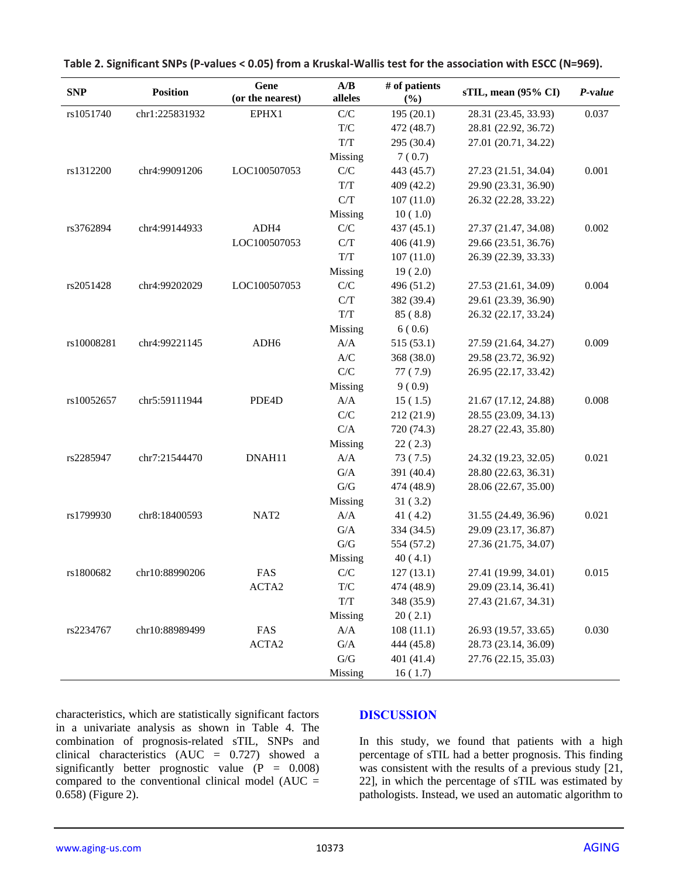| <b>SNP</b> | <b>Position</b> | Gene<br>(or the nearest) | A/B<br>alleles                                       | # of patients<br>(%) | sTIL, mean (95% CI)  | P-value |
|------------|-----------------|--------------------------|------------------------------------------------------|----------------------|----------------------|---------|
| rs1051740  | chr1:225831932  | EPHX1                    | C/C                                                  | 195(20.1)            | 28.31 (23.45, 33.93) | 0.037   |
|            |                 |                          | $\mathrm{T}/\mathrm{C}$                              | 472 (48.7)           | 28.81 (22.92, 36.72) |         |
|            |                 |                          | $T\!/\!T$                                            | 295 (30.4)           | 27.01 (20.71, 34.22) |         |
|            |                 |                          | Missing                                              | 7(0.7)               |                      |         |
| rs1312200  | chr4:99091206   | LOC100507053             | C/C                                                  | 443 (45.7)           | 27.23 (21.51, 34.04) | 0.001   |
|            |                 |                          | $\ensuremath{\text{T}}\xspace/\ensuremath{\text{T}}$ | 409 (42.2)           | 29.90 (23.31, 36.90) |         |
|            |                 |                          | C/T                                                  | 107(11.0)            | 26.32 (22.28, 33.22) |         |
|            |                 |                          | Missing                                              | 10(1.0)              |                      |         |
| rs3762894  | chr4:99144933   | ADH4                     | C/C                                                  | 437 (45.1)           | 27.37 (21.47, 34.08) | 0.002   |
|            |                 | LOC100507053             | C/T                                                  | 406 (41.9)           | 29.66 (23.51, 36.76) |         |
|            |                 |                          | $\ensuremath{\text{T}}\xspace/\ensuremath{\text{T}}$ | 107(11.0)            | 26.39 (22.39, 33.33) |         |
|            |                 |                          | Missing                                              | 19(2.0)              |                      |         |
| rs2051428  | chr4:99202029   | LOC100507053             | C/C                                                  | 496 (51.2)           | 27.53 (21.61, 34.09) | 0.004   |
|            |                 |                          | C/T                                                  | 382 (39.4)           | 29.61 (23.39, 36.90) |         |
|            |                 |                          | $T\!/\!T$                                            | 85(8.8)              | 26.32 (22.17, 33.24) |         |
|            |                 |                          | Missing                                              | 6(0.6)               |                      |         |
| rs10008281 | chr4:99221145   | ADH <sub>6</sub>         | A/A                                                  | 515 (53.1)           | 27.59 (21.64, 34.27) | 0.009   |
|            |                 |                          | A/C                                                  | 368 (38.0)           | 29.58 (23.72, 36.92) |         |
|            |                 |                          | C/C                                                  | 77(7.9)              | 26.95 (22.17, 33.42) |         |
|            |                 |                          | Missing                                              | 9(0.9)               |                      |         |
| rs10052657 | chr5:59111944   | PDE4D                    | A/A                                                  | 15(1.5)              | 21.67 (17.12, 24.88) | 0.008   |
|            |                 |                          | ${\bf C}/{\bf C}$                                    | 212 (21.9)           | 28.55 (23.09, 34.13) |         |
|            |                 |                          | C/A                                                  | 720 (74.3)           | 28.27 (22.43, 35.80) |         |
|            |                 |                          | Missing                                              | 22(2.3)              |                      |         |
| rs2285947  | chr7:21544470   | DNAH11                   | A/A                                                  | 73(7.5)              | 24.32 (19.23, 32.05) | 0.021   |
|            |                 |                          | G/A                                                  | 391 (40.4)           | 28.80 (22.63, 36.31) |         |
|            |                 |                          | ${\mathbf G}/{\mathbf G}$                            | 474 (48.9)           | 28.06 (22.67, 35.00) |         |
|            |                 |                          | Missing                                              | 31(3.2)              |                      |         |
| rs1799930  | chr8:18400593   | NAT <sub>2</sub>         | A/A                                                  | 41(4.2)              | 31.55 (24.49, 36.96) | 0.021   |
|            |                 |                          | G/A                                                  | 334 (34.5)           | 29.09 (23.17, 36.87) |         |
|            |                 |                          | ${\bf G/G}$                                          | 554 (57.2)           | 27.36 (21.75, 34.07) |         |
|            |                 |                          | Missing                                              | 40(4.1)              |                      |         |
| rs1800682  | chr10:88990206  | FAS                      | C/C                                                  | 127(13.1)            | 27.41 (19.99, 34.01) | 0.015   |
|            |                 | ACTA2                    | $\mathrm{T}/\mathrm{C}$                              | 474 (48.9)           | 29.09 (23.14, 36.41) |         |
|            |                 |                          | $T\!/\!T$                                            | 348 (35.9)           | 27.43 (21.67, 34.31) |         |
|            |                 |                          | Missing                                              | 20(2.1)              |                      |         |
| rs2234767  | chr10:88989499  | FAS                      | A/A                                                  | 108(11.1)            | 26.93 (19.57, 33.65) | 0.030   |
|            |                 | ACTA2                    | $\mathrm{G}/\mathrm{A}$                              | 444 (45.8)           | 28.73 (23.14, 36.09) |         |
|            |                 |                          | ${\mathbf G}/{\mathbf G}$                            | 401 (41.4)           | 27.76 (22.15, 35.03) |         |
|            |                 |                          | Missing                                              | 16(1.7)              |                      |         |

**Table 2. Significant SNPs (P-values < 0.05) from a Kruskal-Wallis test for the association with ESCC (N=969).**

characteristics, which are statistically significant factors in a univariate analysis as shown in Table 4. The combination of prognosis-related sTIL, SNPs and clinical characteristics (AUC = 0.727) showed a significantly better prognostic value  $(P = 0.008)$ compared to the conventional clinical model ( $AUC =$ 0.658) (Figure 2).

#### **DISCUSSION**

In this study, we found that patients with a high percentage of sTIL had a better prognosis. This finding was consistent with the results of a previous study [21, 22], in which the percentage of sTIL was estimated by pathologists. Instead, we used an automatic algorithm to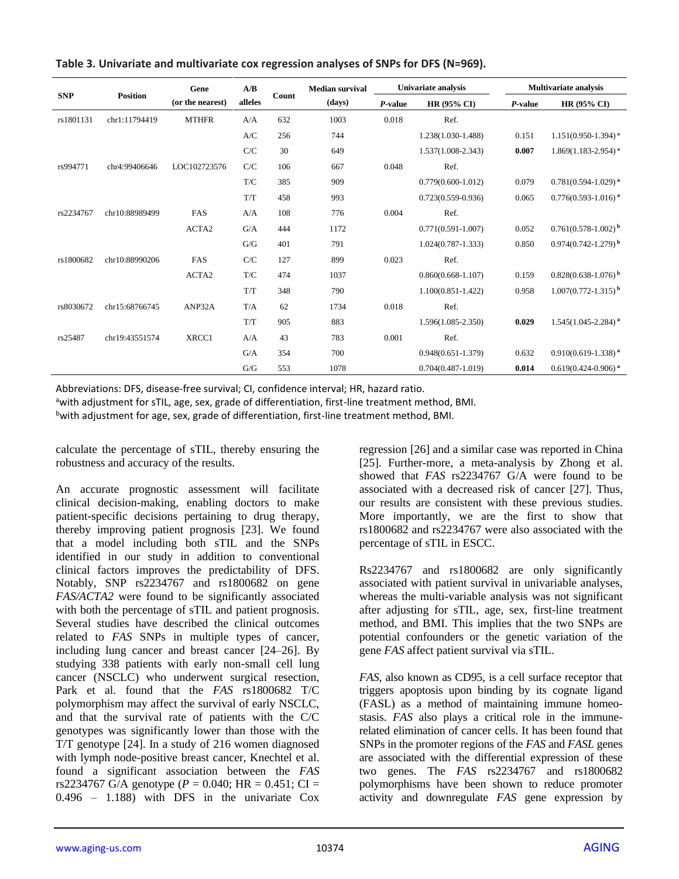|            |                 | Gene              | A/B                     |       | <b>Median survival</b> |         | Univariate analysis    | <b>Multivariate analysis</b> |                                     |
|------------|-----------------|-------------------|-------------------------|-------|------------------------|---------|------------------------|------------------------------|-------------------------------------|
| <b>SNP</b> | <b>Position</b> | (or the nearest)  | alleles                 | Count | (days)                 | P-value | <b>HR (95% CI)</b>     | P-value                      | <b>HR (95% CI)</b>                  |
| rs1801131  | chr1:11794419   | <b>MTHFR</b>      | A/A                     | 632   | 1003                   | 0.018   | Ref.                   |                              |                                     |
|            |                 |                   | A/C                     | 256   | 744                    |         | 1.238(1.030-1.488)     | 0.151                        | $1.151(0.950-1.394)$ <sup>a</sup>   |
|            |                 |                   | C/C                     | 30    | 649                    |         | 1.537(1.008-2.343)     | 0.007                        | $1.869(1.183 - 2.954)$ <sup>a</sup> |
| rs994771   | chr4:99406646   | LOC102723576      | C/C                     | 106   | 667                    | 0.048   | Ref.                   |                              |                                     |
|            |                 |                   | $\mathrm{T}/\mathrm{C}$ | 385   | 909                    |         | $0.779(0.600 - 1.012)$ | 0.079                        | $0.781(0.594-1.029)^{a}$            |
|            |                 |                   | T/T                     | 458   | 993                    |         | $0.723(0.559 - 0.936)$ | 0.065                        | $0.776(0.593 - 1.016)^{a}$          |
| rs2234767  | chr10:88989499  | FAS               | A/A                     | 108   | 776                    | 0.004   | Ref.                   |                              |                                     |
|            |                 | ACTA2             | G/A                     | 444   | 1172                   |         | $0.771(0.591 - 1.007)$ | 0.052                        | $0.761(0.578-1.002)^{b}$            |
|            |                 |                   | G/G                     | 401   | 791                    |         | $1.024(0.787 - 1.333)$ | 0.850                        | $0.974(0.742 - 1.279)^{b}$          |
| rs1800682  | chr10:88990206  | FAS               | C/C                     | 127   | 899                    | 0.023   | Ref.                   |                              |                                     |
|            |                 | ACTA <sub>2</sub> | $\mathrm{T}/\mathrm{C}$ | 474   | 1037                   |         | $0.860(0.668 - 1.107)$ | 0.159                        | $0.828(0.638-1.076)^{b}$            |
|            |                 |                   | T/T                     | 348   | 790                    |         | $1.100(0.851 - 1.422)$ | 0.958                        | $1.007(0.772 - 1.315)^{b}$          |
| rs8030672  | chr15:68766745  | ANP32A            | T/A                     | 62    | 1734                   | 0.018   | Ref.                   |                              |                                     |
|            |                 |                   | T/T                     | 905   | 883                    |         | 1.596(1.085-2.350)     | 0.029                        | $1.545(1.045 - 2.284)^{a}$          |
| rs25487    | chr19:43551574  | XRCC1             | A/A                     | 43    | 783                    | 0.001   | Ref.                   |                              |                                     |
|            |                 |                   | G/A                     | 354   | 700                    |         | $0.948(0.651 - 1.379)$ | 0.632                        | $0.910(0.619-1.338)$ <sup>a</sup>   |
|            |                 |                   | G/G                     | 553   | 1078                   |         | $0.704(0.487-1.019)$   | 0.014                        | $0.619(0.424 - 0.906)$ <sup>a</sup> |

**Table 3. Univariate and multivariate cox regression analyses of SNPs for DFS (N=969).**

Abbreviations: DFS, disease-free survival; CI, confidence interval; HR, hazard ratio.

awith adjustment for sTIL, age, sex, grade of differentiation, first-line treatment method, BMI.

bwith adjustment for age, sex, grade of differentiation, first-line treatment method, BMI.

calculate the percentage of sTIL, thereby ensuring the robustness and accuracy of the results.

An accurate prognostic assessment will facilitate clinical decision-making, enabling doctors to make patient-specific decisions pertaining to drug therapy, thereby improving patient prognosis [23]. We found that a model including both sTIL and the SNPs identified in our study in addition to conventional clinical factors improves the predictability of DFS. Notably, SNP rs2234767 and rs1800682 on gene *FAS/ACTA2* were found to be significantly associated with both the percentage of sTIL and patient prognosis. Several studies have described the clinical outcomes related to *FAS* SNPs in multiple types of cancer, including lung cancer and breast cancer [24–26]. By studying 338 patients with early non-small cell lung cancer (NSCLC) who underwent surgical resection, Park et al. found that the *FAS* rs1800682 T/C polymorphism may affect the survival of early NSCLC, and that the survival rate of patients with the C/C genotypes was significantly lower than those with the T/T genotype [24]. In a study of 216 women diagnosed with lymph node-positive breast cancer, Knechtel et al. found a significant association between the *FAS* rs2234767 G/A genotype ( $P = 0.040$ ; HR = 0.451; CI = 0.496 – 1.188) with DFS in the univariate Cox

regression [26] and a similar case was reported in China [25]. Further-more, a meta-analysis by Zhong et al. showed that *FAS* rs2234767 G/A were found to be associated with a decreased risk of cancer [27]. Thus, our results are consistent with these previous studies. More importantly, we are the first to show that rs1800682 and rs2234767 were also associated with the percentage of sTIL in ESCC.

Rs2234767 and rs1800682 are only significantly associated with patient survival in univariable analyses, whereas the multi-variable analysis was not significant after adjusting for sTIL, age, sex, first-line treatment method, and BMI. This implies that the two SNPs are potential confounders or the genetic variation of the gene *FAS* affect patient survival via sTIL.

*FAS*, also known as CD95, is a cell surface receptor that triggers apoptosis upon binding by its cognate ligand (FASL) as a method of maintaining immune homeostasis. *FAS* also plays a critical role in the immunerelated elimination of cancer cells. It has been found that SNPs in the promoter regions of the *FAS* and *FASL* genes are associated with the differential expression of these two genes. The *FAS* rs2234767 and rs1800682 polymorphisms have been shown to reduce promoter activity and downregulate *FAS* gene expression by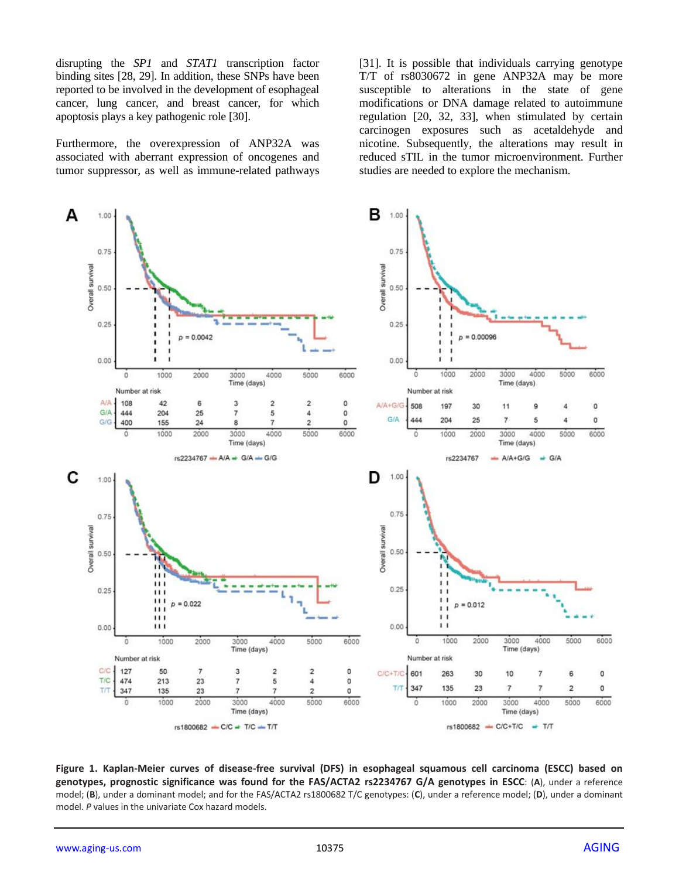disrupting the *SP1* and *STAT1* transcription factor binding sites [28, 29]. In addition, these SNPs have been reported to be involved in the development of esophageal cancer, lung cancer, and breast cancer, for which apoptosis plays a key pathogenic role [30].

Furthermore, the overexpression of ANP32A was associated with aberrant expression of oncogenes and tumor suppressor, as well as immune-related pathways [31]. It is possible that individuals carrying genotype T/T of rs8030672 in gene ANP32A may be more susceptible to alterations in the state of gene modifications or DNA damage related to autoimmune regulation [20, 32, 33], when stimulated by certain carcinogen exposures such as acetaldehyde and nicotine. Subsequently, the alterations may result in reduced sTIL in the tumor microenvironment. Further studies are needed to explore the mechanism.



**Figure 1. Kaplan-Meier curves of disease-free survival (DFS) in esophageal squamous cell carcinoma (ESCC) based on genotypes, prognostic significance was found for the FAS/ACTA2 rs2234767 G/A genotypes in ESCC**: (**A**), under a reference model; (**B**), under a dominant model; and for the FAS/ACTA2 rs1800682 T/C genotypes: (**C**), under a reference model; (**D**), under a dominant model. *P* values in the univariate Cox hazard models.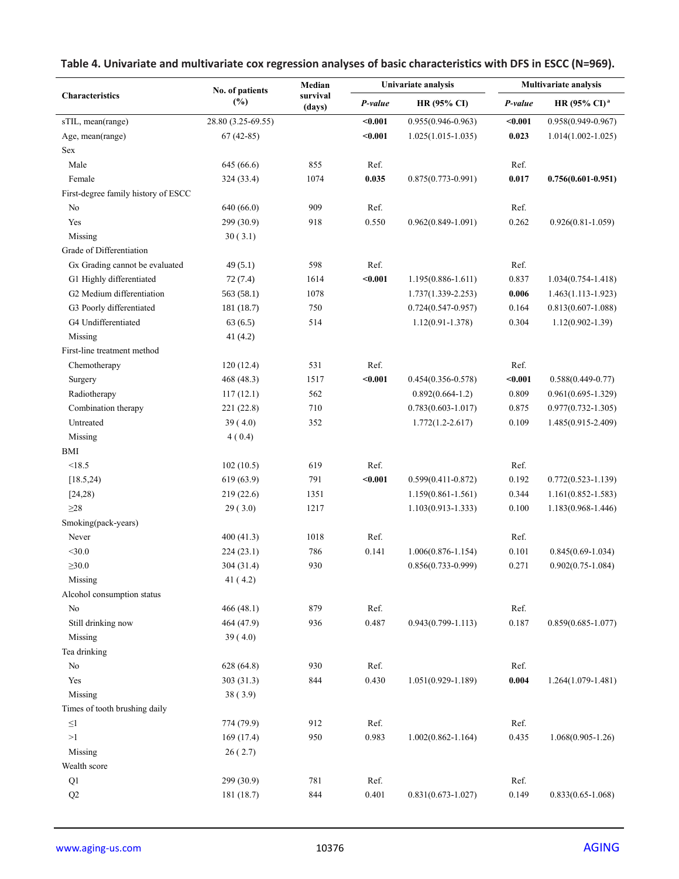|                                     | No. of patients<br>$(\%)$ | Median             |         | Univariate analysis    | <b>Multivariate analysis</b> |                          |  |
|-------------------------------------|---------------------------|--------------------|---------|------------------------|------------------------------|--------------------------|--|
| Characteristics                     |                           | survival<br>(days) | P-value | <b>HR (95% CI)</b>     | P-value                      | HR (95% CI) <sup>a</sup> |  |
| sTIL, mean(range)                   | 28.80 (3.25-69.55)        |                    | $0.001$ | $0.955(0.946 - 0.963)$ | $0.001$                      | $0.958(0.949 - 0.967)$   |  |
| Age, mean(range)                    | $67(42-85)$               |                    | $0.001$ | $1.025(1.015-1.035)$   | 0.023                        | $1.014(1.002 - 1.025)$   |  |
| Sex                                 |                           |                    |         |                        |                              |                          |  |
| Male                                | 645 (66.6)                | 855                | Ref.    |                        | Ref.                         |                          |  |
| Female                              | 324 (33.4)                | 1074               | 0.035   | $0.875(0.773 - 0.991)$ | 0.017                        | $0.756(0.601 - 0.951)$   |  |
| First-degree family history of ESCC |                           |                    |         |                        |                              |                          |  |
| No                                  | 640 (66.0)                | 909                | Ref.    |                        | Ref.                         |                          |  |
| Yes                                 | 299 (30.9)                | 918                | 0.550   | $0.962(0.849 - 1.091)$ | 0.262                        | $0.926(0.81 - 1.059)$    |  |
| Missing                             | 30(3.1)                   |                    |         |                        |                              |                          |  |
| Grade of Differentiation            |                           |                    |         |                        |                              |                          |  |
| Gx Grading cannot be evaluated      | 49(5.1)                   | 598                | Ref.    |                        | Ref.                         |                          |  |
| G1 Highly differentiated            | 72(7.4)                   | 1614               | $0.001$ | $1.195(0.886 - 1.611)$ | 0.837                        | $1.034(0.754 - 1.418)$   |  |
| G2 Medium differentiation           | 563 (58.1)                | 1078               |         | $1.737(1.339 - 2.253)$ | 0.006                        | $1.463(1.113-1.923)$     |  |
| G3 Poorly differentiated            | 181 (18.7)                | 750                |         | $0.724(0.547 - 0.957)$ | 0.164                        | $0.813(0.607 - 1.088)$   |  |
| G4 Undifferentiated                 | 63(6.5)                   | 514                |         | $1.12(0.91 - 1.378)$   | 0.304                        | $1.12(0.902 - 1.39)$     |  |
| Missing                             | 41(4.2)                   |                    |         |                        |                              |                          |  |
| First-line treatment method         |                           |                    |         |                        |                              |                          |  |
| Chemotherapy                        | 120(12.4)                 | 531                | Ref.    |                        | Ref.                         |                          |  |
| Surgery                             | 468 (48.3)                | 1517               | $0.001$ | $0.454(0.356 - 0.578)$ | $0.001$                      | $0.588(0.449-0.77)$      |  |
| Radiotherapy                        | 117(12.1)                 | 562                |         | $0.892(0.664-1.2)$     | 0.809                        | $0.961(0.695 - 1.329)$   |  |
| Combination therapy                 | 221 (22.8)                | 710                |         | $0.783(0.603 - 1.017)$ | 0.875                        | $0.977(0.732 - 1.305)$   |  |
| Untreated                           | 39(4.0)                   | 352                |         | $1.772(1.2 - 2.617)$   | 0.109                        | 1.485(0.915-2.409)       |  |
| Missing                             | 4(0.4)                    |                    |         |                        |                              |                          |  |
| BMI                                 |                           |                    |         |                        |                              |                          |  |
| < 18.5                              | 102(10.5)                 | 619                | Ref.    |                        | Ref.                         |                          |  |
| [18.5, 24]                          | 619 (63.9)                | 791                | $0.001$ | $0.599(0.411 - 0.872)$ | 0.192                        | $0.772(0.523 - 1.139)$   |  |
| [24,28)                             | 219 (22.6)                | 1351               |         | 1.159(0.861-1.561)     | 0.344                        | $1.161(0.852 - 1.583)$   |  |
| $\geq$ 28                           | 29(3.0)                   | 1217               |         | $1.103(0.913 - 1.333)$ | 0.100                        | $1.183(0.968 - 1.446)$   |  |
| Smoking(pack-years)                 |                           |                    |         |                        |                              |                          |  |
| Never                               | 400(41.3)                 | 1018               | Ref.    |                        | Ref.                         |                          |  |
| $<$ 30.0                            | 224 (23.1)                | 786                | 0.141   | $1.006(0.876 - 1.154)$ | 0.101                        | $0.845(0.69-1.034)$      |  |
| $\geq 30.0$                         | 304 (31.4)                | 930                |         | $0.856(0.733 - 0.999)$ | 0.271                        | $0.902(0.75 - 1.084)$    |  |
| Missing                             | 41(4.2)                   |                    |         |                        |                              |                          |  |
|                                     |                           |                    |         |                        |                              |                          |  |
| Alcohol consumption status<br>No    |                           | 879                | Ref.    |                        | Ref.                         |                          |  |
| Still drinking now                  | 466 (48.1)                | 936                | 0.487   | $0.943(0.799 - 1.113)$ | 0.187                        | $0.859(0.685 - 1.077)$   |  |
|                                     | 464 (47.9)                |                    |         |                        |                              |                          |  |
| Missing                             | 39(4.0)                   |                    |         |                        |                              |                          |  |
| Tea drinking                        |                           |                    |         |                        |                              |                          |  |
| No                                  | 628 (64.8)                | 930                | Ref.    |                        | Ref.                         |                          |  |
| Yes                                 | 303 (31.3)                | 844                | 0.430   | $1.051(0.929 - 1.189)$ | 0.004                        | $1.264(1.079-1.481)$     |  |
| Missing                             | 38(3.9)                   |                    |         |                        |                              |                          |  |
| Times of tooth brushing daily       |                           |                    |         |                        |                              |                          |  |
| ${\leq}1$                           | 774 (79.9)                | 912                | Ref.    |                        | Ref.                         |                          |  |
| >1                                  | 169(17.4)                 | 950                | 0.983   | $1.002(0.862 - 1.164)$ | 0.435                        | $1.068(0.905-1.26)$      |  |
| Missing                             | 26(2.7)                   |                    |         |                        |                              |                          |  |
| Wealth score                        |                           |                    |         |                        |                              |                          |  |
| Q1                                  | 299 (30.9)                | 781                | Ref.    |                        | Ref.                         |                          |  |
| Q2                                  | 181 (18.7)                | 844                | 0.401   | $0.831(0.673 - 1.027)$ | 0.149                        | $0.833(0.65 - 1.068)$    |  |

# **Table 4. Univariate and multivariate cox regression analyses of basic characteristics with DFS in ESCC (N=969).**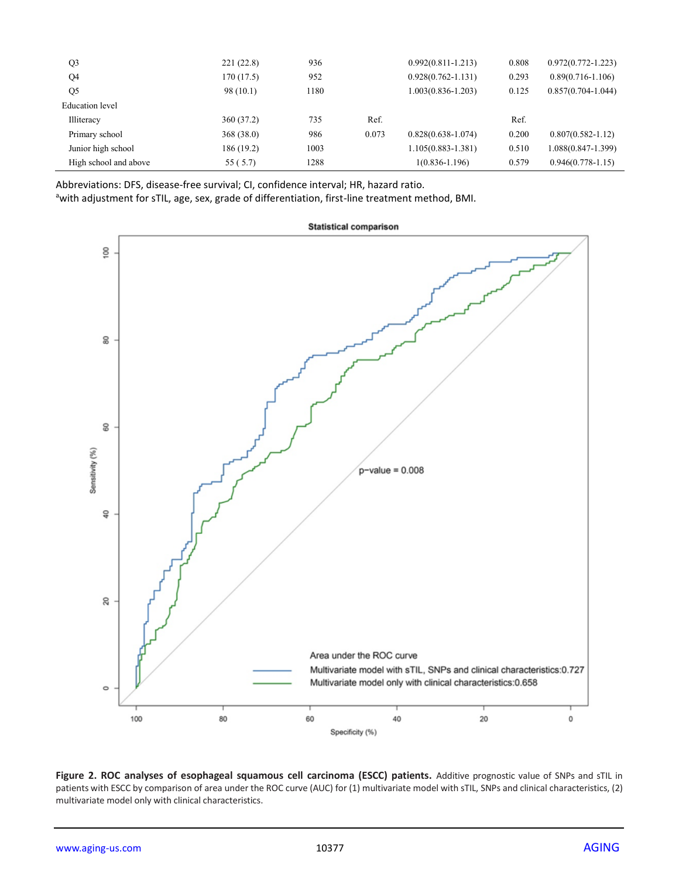| Q <sub>3</sub>        | 221(22.8)  | 936  |       | $0.992(0.811 - 1.213)$ | 0.808 | $0.972(0.772 - 1.223)$ |
|-----------------------|------------|------|-------|------------------------|-------|------------------------|
| Q4                    | 170(17.5)  | 952  |       | $0.928(0.762 - 1.131)$ | 0.293 | $0.89(0.716 - 1.106)$  |
| Q <sub>5</sub>        | 98(10.1)   | 1180 |       | $1.003(0.836 - 1.203)$ | 0.125 | $0.857(0.704 - 1.044)$ |
| Education level       |            |      |       |                        |       |                        |
| Illiteracy            | 360 (37.2) | 735  | Ref.  |                        | Ref.  |                        |
| Primary school        | 368(38.0)  | 986  | 0.073 | $0.828(0.638-1.074)$   | 0.200 | $0.807(0.582 - 1.12)$  |
| Junior high school    | 186 (19.2) | 1003 |       | $1.105(0.883 - 1.381)$ | 0.510 | $1.088(0.847-1.399)$   |
| High school and above | 55 (5.7)   | 1288 |       | $1(0.836 - 1.196)$     | 0.579 | $0.946(0.778-1.15)$    |

Abbreviations: DFS, disease-free survival; CI, confidence interval; HR, hazard ratio.

awith adjustment for sTIL, age, sex, grade of differentiation, first-line treatment method, BMI.



Figure 2. ROC analyses of esophageal squamous cell carcinoma (ESCC) patients. Additive prognostic value of SNPs and sTIL in patients with ESCC by comparison of area under the ROC curve (AUC) for (1) multivariate model with sTIL, SNPs and clinical characteristics, (2) multivariate model only with clinical characteristics.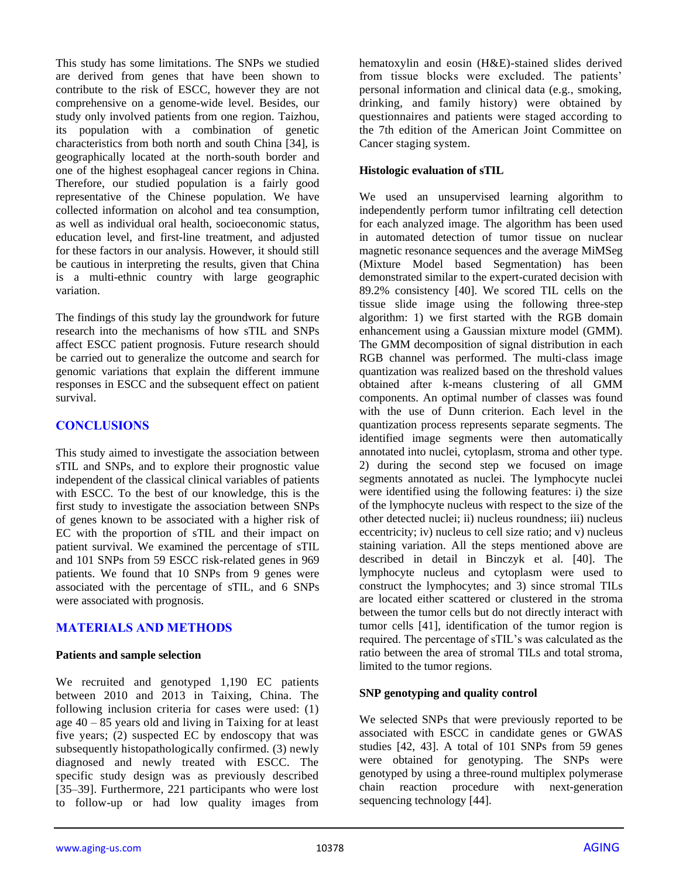This study has some limitations. The SNPs we studied are derived from genes that have been shown to contribute to the risk of ESCC, however they are not comprehensive on a genome-wide level. Besides, our study only involved patients from one region. Taizhou, its population with a combination of genetic characteristics from both north and south China [34], is geographically located at the north-south border and one of the highest esophageal cancer regions in China. Therefore, our studied population is a fairly good representative of the Chinese population. We have collected information on alcohol and tea consumption, as well as individual oral health, socioeconomic status, education level, and first-line treatment, and adjusted for these factors in our analysis. However, it should still be cautious in interpreting the results, given that China is a multi-ethnic country with large geographic variation.

The findings of this study lay the groundwork for future research into the mechanisms of how sTIL and SNPs affect ESCC patient prognosis. Future research should be carried out to generalize the outcome and search for genomic variations that explain the different immune responses in ESCC and the subsequent effect on patient survival.

## **CONCLUSIONS**

This study aimed to investigate the association between sTIL and SNPs, and to explore their prognostic value independent of the classical clinical variables of patients with ESCC. To the best of our knowledge, this is the first study to investigate the association between SNPs of genes known to be associated with a higher risk of EC with the proportion of sTIL and their impact on patient survival. We examined the percentage of sTIL and 101 SNPs from 59 ESCC risk-related genes in 969 patients. We found that 10 SNPs from 9 genes were associated with the percentage of sTIL, and 6 SNPs were associated with prognosis.

## **MATERIALS AND METHODS**

#### **Patients and sample selection**

We recruited and genotyped 1,190 EC patients between 2010 and 2013 in Taixing, China. The following inclusion criteria for cases were used: (1) age 40 – 85 years old and living in Taixing for at least five years; (2) suspected EC by endoscopy that was subsequently histopathologically confirmed. (3) newly diagnosed and newly treated with ESCC. The specific study design was as previously described [35–39]. Furthermore, 221 participants who were lost to follow-up or had low quality images from hematoxylin and eosin (H&E)-stained slides derived from tissue blocks were excluded. The patients' personal information and clinical data (e.g., smoking, drinking, and family history) were obtained by questionnaires and patients were staged according to the 7th edition of the American Joint Committee on Cancer staging system.

#### **Histologic evaluation of sTIL**

We used an unsupervised learning algorithm to independently perform tumor infiltrating cell detection for each analyzed image. The algorithm has been used in automated detection of tumor tissue on nuclear magnetic resonance sequences and the average MiMSeg (Mixture Model based Segmentation) has been demonstrated similar to the expert-curated decision with 89.2% consistency [40]. We scored TIL cells on the tissue slide image using the following three-step algorithm: 1) we first started with the RGB domain enhancement using a Gaussian mixture model (GMM). The GMM decomposition of signal distribution in each RGB channel was performed. The multi-class image quantization was realized based on the threshold values obtained after k-means clustering of all GMM components. An optimal number of classes was found with the use of Dunn criterion. Each level in the quantization process represents separate segments. The identified image segments were then automatically annotated into nuclei, cytoplasm, stroma and other type. 2) during the second step we focused on image segments annotated as nuclei. The lymphocyte nuclei were identified using the following features: i) the size of the lymphocyte nucleus with respect to the size of the other detected nuclei; ii) nucleus roundness; iii) nucleus eccentricity; iv) nucleus to cell size ratio; and v) nucleus staining variation. All the steps mentioned above are described in detail in Binczyk et al. [40]. The lymphocyte nucleus and cytoplasm were used to construct the lymphocytes; and 3) since stromal TILs are located either scattered or clustered in the stroma between the tumor cells but do not directly interact with tumor cells [41], identification of the tumor region is required. The percentage of sTIL's was calculated as the ratio between the area of stromal TILs and total stroma, limited to the tumor regions.

## **SNP genotyping and quality control**

We selected SNPs that were previously reported to be associated with ESCC in candidate genes or GWAS studies [42, 43]. A total of 101 SNPs from 59 genes were obtained for genotyping. The SNPs were genotyped by using a three-round multiplex polymerase chain reaction procedure with next-generation sequencing technology [44].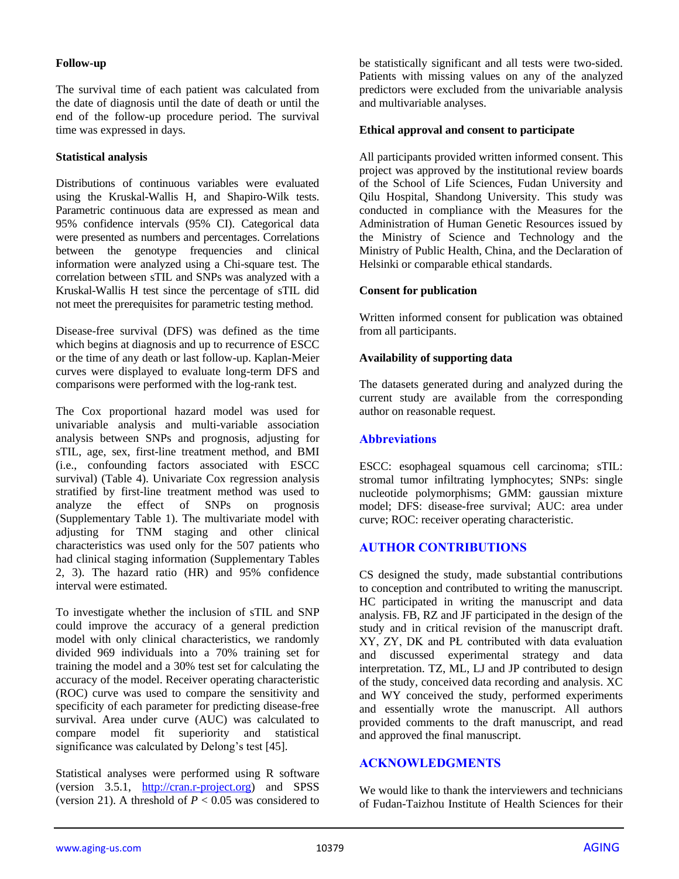#### **Follow-up**

The survival time of each patient was calculated from the date of diagnosis until the date of death or until the end of the follow-up procedure period. The survival time was expressed in days.

#### **Statistical analysis**

Distributions of continuous variables were evaluated using the Kruskal-Wallis H, and Shapiro-Wilk tests. Parametric continuous data are expressed as mean and 95% confidence intervals (95% CI). Categorical data were presented as numbers and percentages. Correlations between the genotype frequencies and clinical information were analyzed using a Chi-square test. The correlation between sTIL and SNPs was analyzed with a Kruskal-Wallis H test since the percentage of sTIL did not meet the prerequisites for parametric testing method.

Disease-free survival (DFS) was defined as the time which begins at diagnosis and up to recurrence of ESCC or the time of any death or last follow-up. Kaplan-Meier curves were displayed to evaluate long-term DFS and comparisons were performed with the log-rank test.

The Cox proportional hazard model was used for univariable analysis and multi-variable association analysis between SNPs and prognosis, adjusting for sTIL, age, sex, first-line treatment method, and BMI (i.e., confounding factors associated with ESCC survival) (Table 4). Univariate Cox regression analysis stratified by first-line treatment method was used to analyze the effect of SNPs on prognosis (Supplementary Table 1). The multivariate model with adjusting for TNM staging and other clinical characteristics was used only for the 507 patients who had clinical staging information (Supplementary Tables 2, 3). The hazard ratio (HR) and 95% confidence interval were estimated.

To investigate whether the inclusion of sTIL and SNP could improve the accuracy of a general prediction model with only clinical characteristics, we randomly divided 969 individuals into a 70% training set for training the model and a 30% test set for calculating the accuracy of the model. Receiver operating characteristic (ROC) curve was used to compare the sensitivity and specificity of each parameter for predicting disease-free survival. Area under curve (AUC) was calculated to compare model fit superiority and statistical significance was calculated by Delong's test [45].

Statistical analyses were performed using R software (version 3.5.1, [http://cran.r-project.org\)](http://cran.r-project.org/) and SPSS (version 21). A threshold of  $P < 0.05$  was considered to be statistically significant and all tests were two-sided. Patients with missing values on any of the analyzed predictors were excluded from the univariable analysis and multivariable analyses.

#### **Ethical approval and consent to participate**

All participants provided written informed consent. This project was approved by the institutional review boards of the School of Life Sciences, Fudan University and Qilu Hospital, Shandong University. This study was conducted in compliance with the Measures for the Administration of Human Genetic Resources issued by the Ministry of Science and Technology and the Ministry of Public Health, China, and the Declaration of Helsinki or comparable ethical standards.

#### **Consent for publication**

Written informed consent for publication was obtained from all participants.

#### **Availability of supporting data**

The datasets generated during and analyzed during the current study are available from the corresponding author on reasonable request.

## **Abbreviations**

ESCC: esophageal squamous cell carcinoma; sTIL: stromal tumor infiltrating lymphocytes; SNPs: single nucleotide polymorphisms; GMM: gaussian mixture model; DFS: disease-free survival; AUC: area under curve; ROC: receiver operating characteristic.

## **AUTHOR CONTRIBUTIONS**

CS designed the study, made substantial contributions to conception and contributed to writing the manuscript. HC participated in writing the manuscript and data analysis. FB, RZ and JF participated in the design of the study and in critical revision of the manuscript draft. XY, ZY, DK and PŁ contributed with data evaluation and discussed experimental strategy and data interpretation. TZ, ML, LJ and JP contributed to design of the study, conceived data recording and analysis. XC and WY conceived the study, performed experiments and essentially wrote the manuscript. All authors provided comments to the draft manuscript, and read and approved the final manuscript.

# **ACKNOWLEDGMENTS**

We would like to thank the interviewers and technicians of Fudan-Taizhou Institute of Health Sciences for their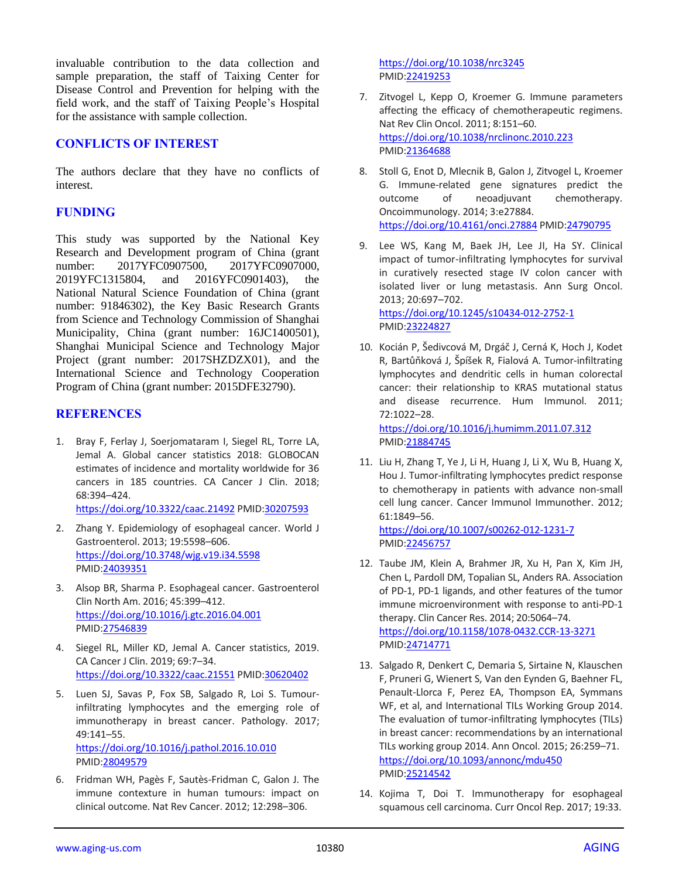invaluable contribution to the data collection and sample preparation, the staff of Taixing Center for Disease Control and Prevention for helping with the field work, and the staff of Taixing People's Hospital for the assistance with sample collection.

#### **CONFLICTS OF INTEREST**

The authors declare that they have no conflicts of interest.

#### **FUNDING**

This study was supported by the National Key Research and Development program of China (grant number: 2017YFC0907500, 2017YFC0907000, 2019YFC1315804, and 2016YFC0901403), the National Natural Science Foundation of China (grant number: 91846302), the Key Basic Research Grants from Science and Technology Commission of Shanghai Municipality, China (grant number: 16JC1400501), Shanghai Municipal Science and Technology Major Project (grant number: 2017SHZDZX01), and the International Science and Technology Cooperation Program of China (grant number: 2015DFE32790).

#### **REFERENCES**

1. Bray F, Ferlay J, Soerjomataram I, Siegel RL, Torre LA, Jemal A. Global cancer statistics 2018: GLOBOCAN estimates of incidence and mortality worldwide for 36 cancers in 185 countries. CA Cancer J Clin. 2018; 68:394–424.

<https://doi.org/10.3322/caac.21492> PMI[D:30207593](https://pubmed.ncbi.nlm.nih.gov/30207593)

- 2. Zhang Y. Epidemiology of esophageal cancer. World J Gastroenterol. 2013; 19:5598–606. <https://doi.org/10.3748/wjg.v19.i34.5598> PMID[:24039351](https://pubmed.ncbi.nlm.nih.gov/24039351)
- 3. Alsop BR, Sharma P. Esophageal cancer. Gastroenterol Clin North Am. 2016; 45:399–412. <https://doi.org/10.1016/j.gtc.2016.04.001> PMID[:27546839](https://pubmed.ncbi.nlm.nih.gov/27546839)
- 4. Siegel RL, Miller KD, Jemal A. Cancer statistics, 2019. CA Cancer J Clin. 2019; 69:7–34. <https://doi.org/10.3322/caac.21551> PMI[D:30620402](https://pubmed.ncbi.nlm.nih.gov/30620402)
- 5. Luen SJ, Savas P, Fox SB, Salgado R, Loi S. Tumourinfiltrating lymphocytes and the emerging role of immunotherapy in breast cancer. Pathology. 2017; 49:141–55. <https://doi.org/10.1016/j.pathol.2016.10.010> PMID[:28049579](https://pubmed.ncbi.nlm.nih.gov/28049579)
- 6. Fridman WH, Pagès F, Sautès-Fridman C, Galon J. The immune contexture in human tumours: impact on clinical outcome. Nat Rev Cancer. 2012; 12:298–306.

<https://doi.org/10.1038/nrc3245> PMI[D:22419253](https://pubmed.ncbi.nlm.nih.gov/22419253)

- 7. Zitvogel L, Kepp O, Kroemer G. Immune parameters affecting the efficacy of chemotherapeutic regimens. Nat Rev Clin Oncol. 2011; 8:151–60. <https://doi.org/10.1038/nrclinonc.2010.223> PMI[D:21364688](https://pubmed.ncbi.nlm.nih.gov/21364688)
- 8. Stoll G, Enot D, Mlecnik B, Galon J, Zitvogel L, Kroemer G. Immune-related gene signatures predict the outcome of neoadjuvant chemotherapy. Oncoimmunology. 2014; 3:e27884. <https://doi.org/10.4161/onci.27884> PMID[:24790795](https://pubmed.ncbi.nlm.nih.gov/24790795)
- 9. Lee WS, Kang M, Baek JH, Lee JI, Ha SY. Clinical impact of tumor-infiltrating lymphocytes for survival in curatively resected stage IV colon cancer with isolated liver or lung metastasis. Ann Surg Oncol. 2013; 20:697–702. <https://doi.org/10.1245/s10434-012-2752-1> PMI[D:23224827](https://pubmed.ncbi.nlm.nih.gov/23224827)
- 10. Kocián P, Šedivcová M, Drgáč J, Cerná K, Hoch J, Kodet R, Bartůňková J, Špíšek R, Fialová A. Tumor-infiltrating lymphocytes and dendritic cells in human colorectal cancer: their relationship to KRAS mutational status and disease recurrence. Hum Immunol. 2011; 72:1022–28. <https://doi.org/10.1016/j.humimm.2011.07.312>

PMI[D:21884745](https://pubmed.ncbi.nlm.nih.gov/21884745)

11. Liu H, Zhang T, Ye J, Li H, Huang J, Li X, Wu B, Huang X, Hou J. Tumor-infiltrating lymphocytes predict response to chemotherapy in patients with advance non-small cell lung cancer. Cancer Immunol Immunother. 2012; 61:1849–56. <https://doi.org/10.1007/s00262-012-1231-7>

PMI[D:22456757](https://pubmed.ncbi.nlm.nih.gov/22456757)

- 12. Taube JM, Klein A, Brahmer JR, Xu H, Pan X, Kim JH, Chen L, Pardoll DM, Topalian SL, Anders RA. Association of PD-1, PD-1 ligands, and other features of the tumor immune microenvironment with response to anti-PD-1 therapy. Clin Cancer Res. 2014; 20:5064–74. <https://doi.org/10.1158/1078-0432.CCR-13-3271> PMI[D:24714771](https://pubmed.ncbi.nlm.nih.gov/24714771)
- 13. Salgado R, Denkert C, Demaria S, Sirtaine N, Klauschen F, Pruneri G, Wienert S, Van den Eynden G, Baehner FL, Penault-Llorca F, Perez EA, Thompson EA, Symmans WF, et al, and International TILs Working Group 2014. The evaluation of tumor-infiltrating lymphocytes (TILs) in breast cancer: recommendations by an international TILs working group 2014. Ann Oncol. 2015; 26:259–71. <https://doi.org/10.1093/annonc/mdu450> PMI[D:25214542](https://pubmed.ncbi.nlm.nih.gov/25214542)
- 14. Kojima T, Doi T. Immunotherapy for esophageal squamous cell carcinoma. Curr Oncol Rep. 2017; 19:33.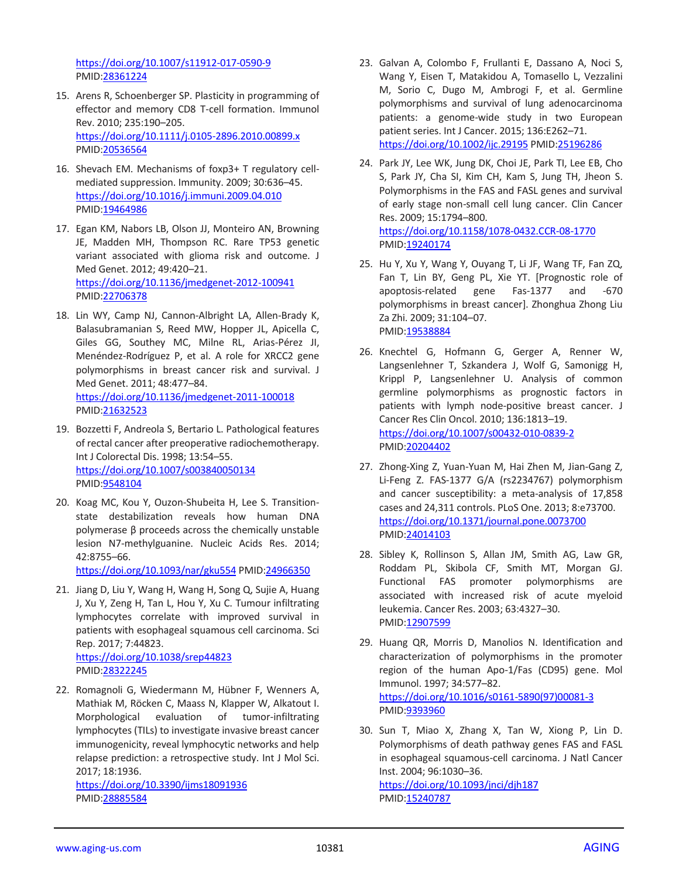<https://doi.org/10.1007/s11912-017-0590-9> PMID[:28361224](https://pubmed.ncbi.nlm.nih.gov/28361224)

- 15. Arens R, Schoenberger SP. Plasticity in programming of effector and memory CD8 T-cell formation. Immunol Rev. 2010; 235:190–205. <https://doi.org/10.1111/j.0105-2896.2010.00899.x> PMID[:20536564](https://pubmed.ncbi.nlm.nih.gov/20536564)
- 16. Shevach EM. Mechanisms of foxp3+ T regulatory cellmediated suppression. Immunity. 2009; 30:636–45. <https://doi.org/10.1016/j.immuni.2009.04.010> PMID[:19464986](https://pubmed.ncbi.nlm.nih.gov/19464986)
- 17. Egan KM, Nabors LB, Olson JJ, Monteiro AN, Browning JE, Madden MH, Thompson RC. Rare TP53 genetic variant associated with glioma risk and outcome. J Med Genet. 2012; 49:420–21. <https://doi.org/10.1136/jmedgenet-2012-100941> PMID[:22706378](https://pubmed.ncbi.nlm.nih.gov/22706378)
- 18. Lin WY, Camp NJ, Cannon-Albright LA, Allen-Brady K, Balasubramanian S, Reed MW, Hopper JL, Apicella C, Giles GG, Southey MC, Milne RL, Arias-Pérez JI, Menéndez-Rodríguez P, et al. A role for XRCC2 gene polymorphisms in breast cancer risk and survival. J Med Genet. 2011; 48:477–84. <https://doi.org/10.1136/jmedgenet-2011-100018> PMID[:21632523](https://pubmed.ncbi.nlm.nih.gov/21632523)
- 19. Bozzetti F, Andreola S, Bertario L. Pathological features of rectal cancer after preoperative radiochemotherapy. Int J Colorectal Dis. 1998; 13:54–55. <https://doi.org/10.1007/s003840050134> PMID[:9548104](https://pubmed.ncbi.nlm.nih.gov/9548104)
- 20. Koag MC, Kou Y, Ouzon-Shubeita H, Lee S. Transitionstate destabilization reveals how human DNA polymerase β proceeds across the chemically unstable lesion N7-methylguanine. Nucleic Acids Res. 2014; 42:8755–66.

<https://doi.org/10.1093/nar/gku554> PMID[:24966350](https://pubmed.ncbi.nlm.nih.gov/24966350)

- 21. Jiang D, Liu Y, Wang H, Wang H, Song Q, Sujie A, Huang J, Xu Y, Zeng H, Tan L, Hou Y, Xu C. Tumour infiltrating lymphocytes correlate with improved survival in patients with esophageal squamous cell carcinoma. Sci Rep. 2017; 7:44823. <https://doi.org/10.1038/srep44823> PMID[:28322245](https://pubmed.ncbi.nlm.nih.gov/28322245)
- 22. Romagnoli G, Wiedermann M, Hübner F, Wenners A, Mathiak M, Röcken C, Maass N, Klapper W, Alkatout I. Morphological evaluation of tumor-infiltrating lymphocytes (TILs) to investigate invasive breast cancer immunogenicity, reveal lymphocytic networks and help relapse prediction: a retrospective study. Int J Mol Sci. 2017; 18:1936.

<https://doi.org/10.3390/ijms18091936> PMID[:28885584](https://pubmed.ncbi.nlm.nih.gov/28885584)

- 23. Galvan A, Colombo F, Frullanti E, Dassano A, Noci S, Wang Y, Eisen T, Matakidou A, Tomasello L, Vezzalini M, Sorio C, Dugo M, Ambrogi F, et al. Germline polymorphisms and survival of lung adenocarcinoma patients: a genome-wide study in two European patient series. Int J Cancer. 2015; 136:E262–71. <https://doi.org/10.1002/ijc.29195> PMID[:25196286](https://pubmed.ncbi.nlm.nih.gov/25196286)
- 24. Park JY, Lee WK, Jung DK, Choi JE, Park TI, Lee EB, Cho S, Park JY, Cha SI, Kim CH, Kam S, Jung TH, Jheon S. Polymorphisms in the FAS and FASL genes and survival of early stage non-small cell lung cancer. Clin Cancer Res. 2009; 15:1794–800. <https://doi.org/10.1158/1078-0432.CCR-08-1770> PMID: 19240174
- 25. Hu Y, Xu Y, Wang Y, Ouyang T, Li JF, Wang TF, Fan ZQ, Fan T, Lin BY, Geng PL, Xie YT. [Prognostic role of apoptosis-related gene Fas-1377 and -670 polymorphisms in breast cancer]. Zhonghua Zhong Liu Za Zhi. 2009; 31:104–07. PMI[D:19538884](https://pubmed.ncbi.nlm.nih.gov/19538884)
- 26. Knechtel G, Hofmann G, Gerger A, Renner W, Langsenlehner T, Szkandera J, Wolf G, Samonigg H, Krippl P, Langsenlehner U. Analysis of common germline polymorphisms as prognostic factors in patients with lymph node-positive breast cancer. J Cancer Res Clin Oncol. 2010; 136:1813–19. <https://doi.org/10.1007/s00432-010-0839-2> PMI[D:20204402](https://pubmed.ncbi.nlm.nih.gov/20204402)
- 27. Zhong-Xing Z, Yuan-Yuan M, Hai Zhen M, Jian-Gang Z, Li-Feng Z. FAS-1377 G/A (rs2234767) polymorphism and cancer susceptibility: a meta-analysis of 17,858 cases and 24,311 controls. PLoS One. 2013; 8:e73700. <https://doi.org/10.1371/journal.pone.0073700> PMI[D:24014103](https://pubmed.ncbi.nlm.nih.gov/24014103)
- 28. Sibley K, Rollinson S, Allan JM, Smith AG, Law GR, Roddam PL, Skibola CF, Smith MT, Morgan GJ. Functional FAS promoter polymorphisms are associated with increased risk of acute myeloid leukemia. Cancer Res. 2003; 63:4327–30. PMID: 12907599
- 29. Huang QR, Morris D, Manolios N. Identification and characterization of polymorphisms in the promoter region of the human Apo-1/Fas (CD95) gene. Mol Immunol. 1997; 34:577–82. [https://doi.org/10.1016/s0161-5890\(97\)00081-3](https://doi.org/10.1016/s0161-5890(97)00081-3) PMI[D:9393960](https://pubmed.ncbi.nlm.nih.gov/9393960)
- 30. Sun T, Miao X, Zhang X, Tan W, Xiong P, Lin D. Polymorphisms of death pathway genes FAS and FASL in esophageal squamous-cell carcinoma. J Natl Cancer Inst. 2004; 96:1030–36.

<https://doi.org/10.1093/jnci/djh187> PMID: 15240787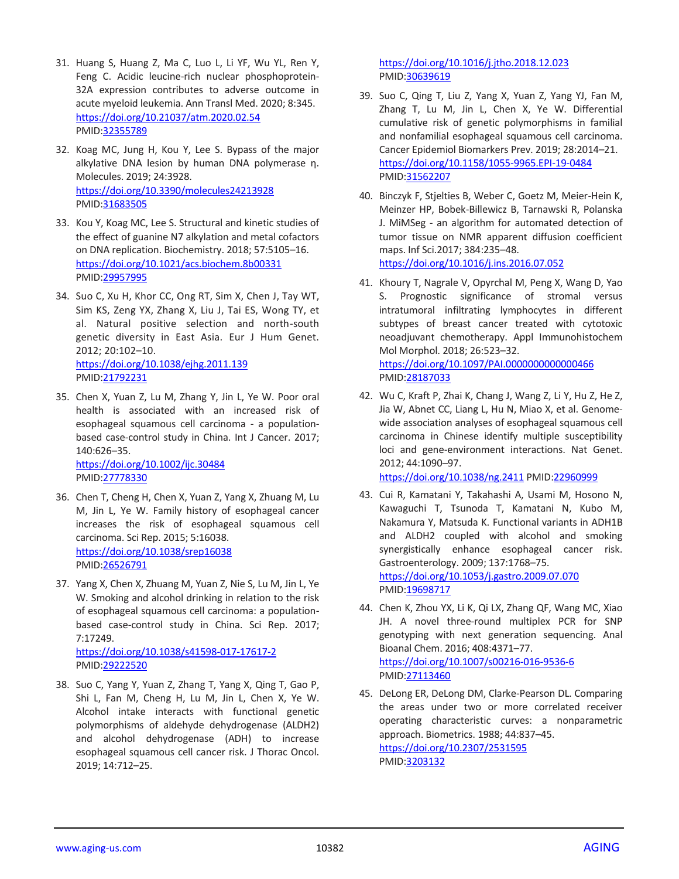- 31. Huang S, Huang Z, Ma C, Luo L, Li YF, Wu YL, Ren Y, Feng C. Acidic leucine-rich nuclear phosphoprotein-32A expression contributes to adverse outcome in acute myeloid leukemia. Ann Transl Med. 2020; 8:345. <https://doi.org/10.21037/atm.2020.02.54> PMID[:32355789](https://pubmed.ncbi.nlm.nih.gov/32355789)
- 32. Koag MC, Jung H, Kou Y, Lee S. Bypass of the major alkylative DNA lesion by human DNA polymerase η. Molecules. 2019; 24:3928. <https://doi.org/10.3390/molecules24213928> PMID[:31683505](https://pubmed.ncbi.nlm.nih.gov/31683505)
- 33. Kou Y, Koag MC, Lee S. Structural and kinetic studies of the effect of guanine N7 alkylation and metal cofactors on DNA replication. Biochemistry. 2018; 57:5105–16. <https://doi.org/10.1021/acs.biochem.8b00331> PMID[:29957995](https://pubmed.ncbi.nlm.nih.gov/29957995)
- 34. Suo C, Xu H, Khor CC, Ong RT, Sim X, Chen J, Tay WT, Sim KS, Zeng YX, Zhang X, Liu J, Tai ES, Wong TY, et al. Natural positive selection and north-south genetic diversity in East Asia. Eur J Hum Genet. 2012; 20:102–10. <https://doi.org/10.1038/ejhg.2011.139> PMID[:21792231](https://pubmed.ncbi.nlm.nih.gov/21792231)
- 35. Chen X, Yuan Z, Lu M, Zhang Y, Jin L, Ye W. Poor oral health is associated with an increased risk of esophageal squamous cell carcinoma - a populationbased case-control study in China. Int J Cancer. 2017; 140:626–35. <https://doi.org/10.1002/ijc.30484>

PMID[:27778330](https://pubmed.ncbi.nlm.nih.gov/27778330)

- 36. Chen T, Cheng H, Chen X, Yuan Z, Yang X, Zhuang M, Lu M, Jin L, Ye W. Family history of esophageal cancer increases the risk of esophageal squamous cell carcinoma. Sci Rep. 2015; 5:16038. <https://doi.org/10.1038/srep16038> PMID[:26526791](https://pubmed.ncbi.nlm.nih.gov/26526791)
- 37. Yang X, Chen X, Zhuang M, Yuan Z, Nie S, Lu M, Jin L, Ye W. Smoking and alcohol drinking in relation to the risk of esophageal squamous cell carcinoma: a populationbased case-control study in China. Sci Rep. 2017; 7:17249.

<https://doi.org/10.1038/s41598-017-17617-2> PMID[:29222520](https://pubmed.ncbi.nlm.nih.gov/29222520)

38. Suo C, Yang Y, Yuan Z, Zhang T, Yang X, Qing T, Gao P, Shi L, Fan M, Cheng H, Lu M, Jin L, Chen X, Ye W. Alcohol intake interacts with functional genetic polymorphisms of aldehyde dehydrogenase (ALDH2) and alcohol dehydrogenase (ADH) to increase esophageal squamous cell cancer risk. J Thorac Oncol. 2019; 14:712–25.

<https://doi.org/10.1016/j.jtho.2018.12.023> PMI[D:30639619](https://pubmed.ncbi.nlm.nih.gov/30639619)

- 39. Suo C, Qing T, Liu Z, Yang X, Yuan Z, Yang YJ, Fan M, Zhang T, Lu M, Jin L, Chen X, Ye W. Differential cumulative risk of genetic polymorphisms in familial and nonfamilial esophageal squamous cell carcinoma. Cancer Epidemiol Biomarkers Prev. 2019; 28:2014–21. <https://doi.org/10.1158/1055-9965.EPI-19-0484> PMI[D:31562207](https://pubmed.ncbi.nlm.nih.gov/31562207)
- 40. Binczyk F, Stjelties B, Weber C, Goetz M, Meier-Hein K, Meinzer HP, Bobek-Billewicz B, Tarnawski R, Polanska J. MiMSeg - an algorithm for automated detection of tumor tissue on NMR apparent diffusion coefficient maps. Inf Sci.2017; 384:235–48. <https://doi.org/10.1016/j.ins.2016.07.052>
- 41. Khoury T, Nagrale V, Opyrchal M, Peng X, Wang D, Yao S. Prognostic significance of stromal versus intratumoral infiltrating lymphocytes in different subtypes of breast cancer treated with cytotoxic neoadjuvant chemotherapy. Appl Immunohistochem Mol Morphol. 2018; 26:523–32. <https://doi.org/10.1097/PAI.0000000000000466> PMI[D:28187033](https://pubmed.ncbi.nlm.nih.gov/28187033)
- 42. Wu C, Kraft P, Zhai K, Chang J, Wang Z, Li Y, Hu Z, He Z, Jia W, Abnet CC, Liang L, Hu N, Miao X, et al. Genomewide association analyses of esophageal squamous cell carcinoma in Chinese identify multiple susceptibility loci and gene-environment interactions. Nat Genet. 2012; 44:1090–97. <https://doi.org/10.1038/ng.2411> PMID[:22960999](https://pubmed.ncbi.nlm.nih.gov/22960999)
- 43. Cui R, Kamatani Y, Takahashi A, Usami M, Hosono N, Kawaguchi T, Tsunoda T, Kamatani N, Kubo M, Nakamura Y, Matsuda K. Functional variants in ADH1B and ALDH2 coupled with alcohol and smoking synergistically enhance esophageal cancer risk. Gastroenterology. 2009; 137:1768–75. <https://doi.org/10.1053/j.gastro.2009.07.070> PMI[D:19698717](https://pubmed.ncbi.nlm.nih.gov/19698717)
- 44. Chen K, Zhou YX, Li K, Qi LX, Zhang QF, Wang MC, Xiao JH. A novel three-round multiplex PCR for SNP genotyping with next generation sequencing. Anal Bioanal Chem. 2016; 408:4371–77. <https://doi.org/10.1007/s00216-016-9536-6> PMI[D:27113460](https://pubmed.ncbi.nlm.nih.gov/27113460)
- 45. DeLong ER, DeLong DM, Clarke-Pearson DL. Comparing the areas under two or more correlated receiver operating characteristic curves: a nonparametric approach. Biometrics. 1988; 44:837–45. <https://doi.org/10.2307/2531595> PMI[D:3203132](https://pubmed.ncbi.nlm.nih.gov/3203132)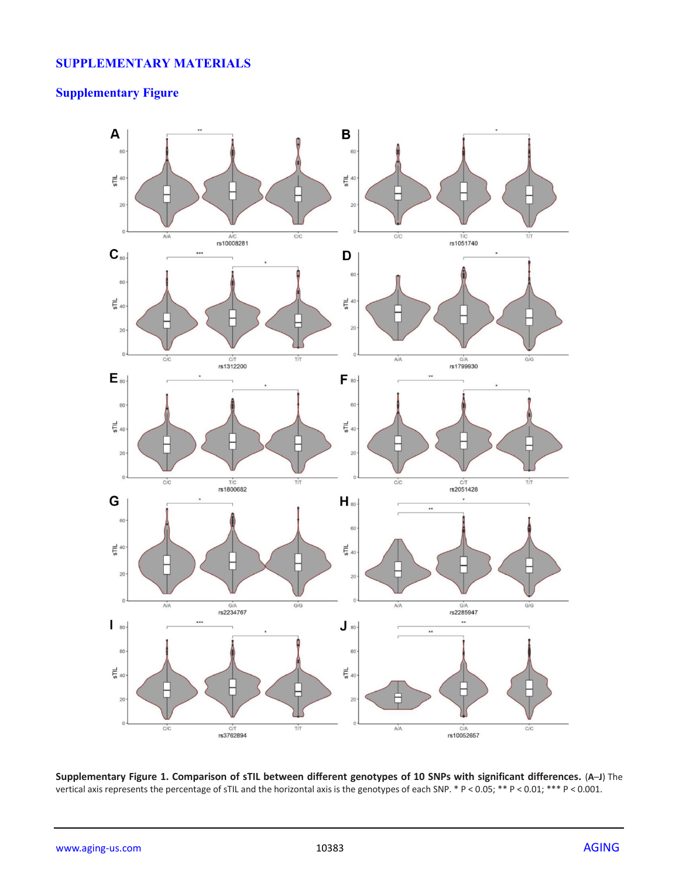## **SUPPLEMENTARY MATERIALS**

# **Supplementary Figure**



**Supplementary Figure 1. Comparison of sTIL between different genotypes of 10 SNPs with significant differences.** (**A**–**J**) The vertical axis represents the percentage of sTIL and the horizontal axis is the genotypes of each SNP. \* P < 0.05; \*\* P < 0.01; \*\*\* P < 0.001.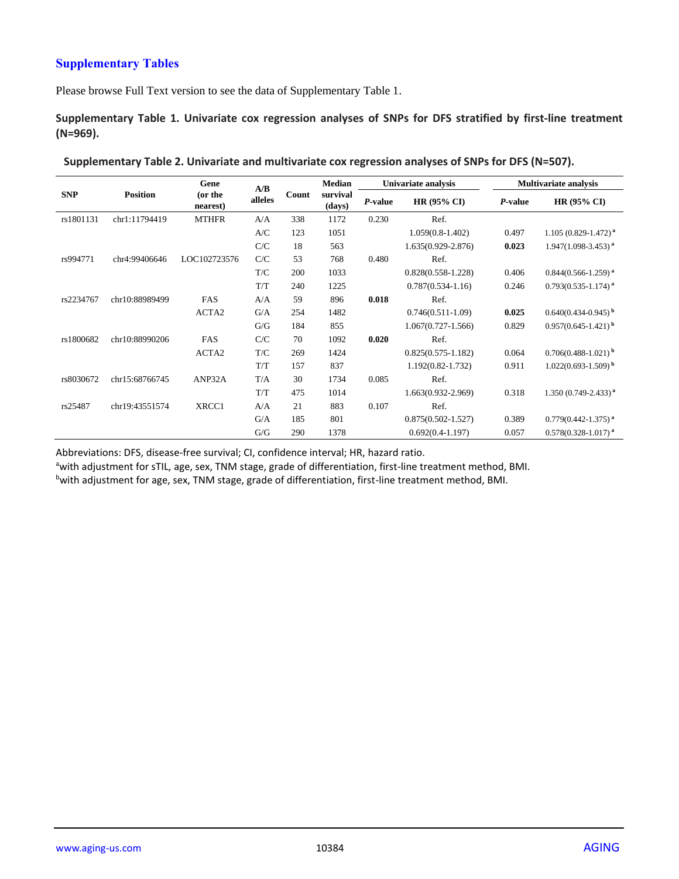## **Supplementary Tables**

Please browse Full Text version to see the data of Supplementary Table 1.

**Supplementary Table 1. Univariate cox regression analyses of SNPs for DFS stratified by first-line treatment (N=969).**

|            |                 | <b>Median</b><br>Gene<br>A/B |         |       |                    | Univariate analysis |                        | <b>Multivariate analysis</b> |                                   |  |
|------------|-----------------|------------------------------|---------|-------|--------------------|---------------------|------------------------|------------------------------|-----------------------------------|--|
| <b>SNP</b> | <b>Position</b> | (or the<br>nearest)          | alleles | Count | survival<br>(days) | P-value             | HR $(95\% \text{ CI})$ | P-value                      | HR $(95\% \text{ CI})$            |  |
| rs1801131  | chr1:11794419   | <b>MTHFR</b>                 | A/A     | 338   | 1172               | 0.230               | Ref.                   |                              |                                   |  |
|            |                 |                              | A/C     | 123   | 1051               |                     | $1.059(0.8-1.402)$     | 0.497                        | $1.105(0.829 - 1.472)^{a}$        |  |
|            |                 |                              | C/C     | 18    | 563                |                     | 1.635(0.929-2.876)     | 0.023                        | $1.947(1.098-3.453)^{a}$          |  |
| rs994771   | chr4:99406646   | LOC102723576                 | C/C     | 53    | 768                | 0.480               | Ref.                   |                              |                                   |  |
|            |                 |                              | T/C     | 200   | 1033               |                     | $0.828(0.558-1.228)$   | 0.406                        | $0.844(0.566-1.259)$ <sup>a</sup> |  |
|            |                 |                              | T/T     | 240   | 1225               |                     | $0.787(0.534-1.16)$    | 0.246                        | $0.793(0.535 - 1.174)^{a}$        |  |
| rs2234767  | chr10:88989499  | FAS                          | A/A     | 59    | 896                | 0.018               | Ref.                   |                              |                                   |  |
|            |                 | ACTA2                        | G/A     | 254   | 1482               |                     | $0.746(0.511-1.09)$    | 0.025                        | $0.640(0.434-0.945)^{b}$          |  |
|            |                 |                              | G/G     | 184   | 855                |                     | $1.067(0.727 - 1.566)$ | 0.829                        | $0.957(0.645 - 1.421)^{b}$        |  |
| rs1800682  | chr10:88990206  | FAS                          | C/C     | 70    | 1092               | 0.020               | Ref.                   |                              |                                   |  |
|            |                 | ACTA2                        | T/C     | 269   | 1424               |                     | $0.825(0.575 - 1.182)$ | 0.064                        | $0.706(0.488-1.021)$ <sup>b</sup> |  |
|            |                 |                              | T/T     | 157   | 837                |                     | $1.192(0.82 - 1.732)$  | 0.911                        | $1.022(0.693 - 1.509)^{b}$        |  |
| rs8030672  | chr15:68766745  | ANP32A                       | T/A     | 30    | 1734               | 0.085               | Ref.                   |                              |                                   |  |
|            |                 |                              | T/T     | 475   | 1014               |                     | 1.663(0.932-2.969)     | 0.318                        | $1.350(0.749 - 2.433)^{a}$        |  |
| rs25487    | chr19:43551574  | XRCC1                        | A/A     | 21    | 883                | 0.107               | Ref.                   |                              |                                   |  |
|            |                 |                              | G/A     | 185   | 801                |                     | $0.875(0.502 - 1.527)$ | 0.389                        | $0.779(0.442 - 1.375)^{a}$        |  |
|            |                 |                              | G/G     | 290   | 1378               |                     | $0.692(0.4-1.197)$     | 0.057                        | $0.578(0.328-1.017)$ <sup>a</sup> |  |

| Supplementary Table 2. Univariate and multivariate cox regression analyses of SNPs for DFS (N=507). |  |  |
|-----------------------------------------------------------------------------------------------------|--|--|
|-----------------------------------------------------------------------------------------------------|--|--|

Abbreviations: DFS, disease-free survival; CI, confidence interval; HR, hazard ratio.

awith adjustment for sTIL, age, sex, TNM stage, grade of differentiation, first-line treatment method, BMI.

bwith adjustment for age, sex, TNM stage, grade of differentiation, first-line treatment method, BMI.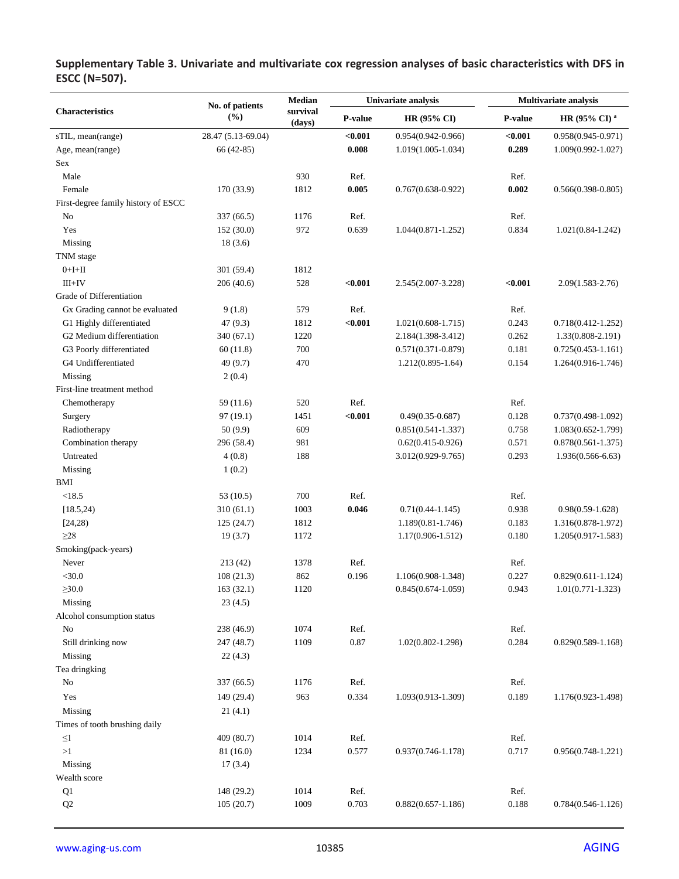|                                     | No. of patients    | <b>Median</b>      |         | Univariate analysis    | <b>Multivariate analysis</b> |                          |  |
|-------------------------------------|--------------------|--------------------|---------|------------------------|------------------------------|--------------------------|--|
| <b>Characteristics</b>              | (%)                | survival<br>(days) | P-value | HR (95% CI)            | P-value                      | HR (95% CI) <sup>a</sup> |  |
| sTIL, mean(range)                   | 28.47 (5.13-69.04) |                    | < 0.001 | $0.954(0.942 - 0.966)$ | < 0.001                      | $0.958(0.945 - 0.971)$   |  |
| Age, mean(range)                    | 66 (42-85)         |                    | 0.008   | $1.019(1.005-1.034)$   | 0.289                        | $1.009(0.992 - 1.027)$   |  |
| <b>Sex</b>                          |                    |                    |         |                        |                              |                          |  |
| Male                                |                    | 930                | Ref.    |                        | Ref.                         |                          |  |
| Female                              | 170 (33.9)         | 1812               | 0.005   | $0.767(0.638 - 0.922)$ | 0.002                        | $0.566(0.398 - 0.805)$   |  |
| First-degree family history of ESCC |                    |                    |         |                        |                              |                          |  |
| No                                  | 337 (66.5)         | 1176               | Ref.    |                        | Ref.                         |                          |  |
| Yes                                 | 152 (30.0)         | 972                | 0.639   | $1.044(0.871-1.252)$   | 0.834                        | $1.021(0.84-1.242)$      |  |
| Missing                             | 18(3.6)            |                    |         |                        |                              |                          |  |
| TNM stage                           |                    |                    |         |                        |                              |                          |  |
| $0+I+II$                            | 301 (59.4)         | 1812               |         |                        |                              |                          |  |
| $III+IV$                            | 206 (40.6)         | 528                | < 0.001 | 2.545(2.007-3.228)     | < 0.001                      | $2.09(1.583 - 2.76)$     |  |
| Grade of Differentiation            |                    |                    |         |                        |                              |                          |  |
| Gx Grading cannot be evaluated      | 9(1.8)             | 579                | Ref.    |                        | Ref.                         |                          |  |
| G1 Highly differentiated            | 47(9.3)            | 1812               | $0.001$ | $1.021(0.608-1.715)$   | 0.243                        | $0.718(0.412 - 1.252)$   |  |
| G2 Medium differentiation           | 340 (67.1)         | 1220               |         | 2.184(1.398-3.412)     | 0.262                        | $1.33(0.808 - 2.191)$    |  |
| G3 Poorly differentiated            | 60(11.8)           | 700                |         | $0.571(0.371 - 0.879)$ | 0.181                        | $0.725(0.453 - 1.161)$   |  |
| G4 Undifferentiated                 | 49 (9.7)           | 470                |         | $1.212(0.895 - 1.64)$  | 0.154                        | $1.264(0.916-1.746)$     |  |
| Missing                             | 2(0.4)             |                    |         |                        |                              |                          |  |
| First-line treatment method         |                    |                    |         |                        |                              |                          |  |
| Chemotherapy                        | 59(11.6)           | 520                | Ref.    |                        | Ref.                         |                          |  |
| Surgery                             | 97 (19.1)          | 1451               | < 0.001 | $0.49(0.35 - 0.687)$   | 0.128                        | $0.737(0.498 - 1.092)$   |  |
| Radiotherapy                        | 50 (9.9)           | 609                |         | $0.851(0.541-1.337)$   | 0.758                        | $1.083(0.652 - 1.799)$   |  |
| Combination therapy                 | 296 (58.4)         | 981                |         | $0.62(0.415-0.926)$    | 0.571                        | $0.878(0.561 - 1.375)$   |  |
| Untreated                           | 4(0.8)             | 188                |         | 3.012(0.929-9.765)     | 0.293                        | $1.936(0.566-6.63)$      |  |
| Missing                             | 1(0.2)             |                    |         |                        |                              |                          |  |
| BMI                                 |                    |                    |         |                        |                              |                          |  |
| <18.5                               | 53(10.5)           | 700                | Ref.    |                        | Ref.                         |                          |  |
| [18.5, 24]                          | 310(61.1)          | 1003               | 0.046   | $0.71(0.44 - 1.145)$   | 0.938                        | $0.98(0.59 - 1.628)$     |  |
| [24,28)                             | 125(24.7)          | 1812               |         | 1.189(0.81-1.746)      | 0.183                        | 1.316(0.878-1.972)       |  |
| $\geq$ 28                           | 19(3.7)            | 1172               |         | 1.17(0.906-1.512)      | 0.180                        | $1.205(0.917-1.583)$     |  |
| Smoking(pack-years)                 |                    |                    |         |                        |                              |                          |  |
| Never                               | 213 (42)           | 1378               | Ref.    |                        | Ref.                         |                          |  |
| $<$ 30.0                            | 108(21.3)          | 862                | 0.196   | 1.106(0.908-1.348)     | 0.227                        | $0.829(0.611 - 1.124)$   |  |
| $\geq 30.0$                         | 163(32.1)          | 1120               |         | $0.845(0.674-1.059)$   | 0.943                        | $1.01(0.771 - 1.323)$    |  |
| Missing                             | 23(4.5)            |                    |         |                        |                              |                          |  |
| Alcohol consumption status          |                    |                    |         |                        |                              |                          |  |
| No                                  | 238 (46.9)         | 1074               | Ref.    |                        | Ref.                         |                          |  |
| Still drinking now                  | 247 (48.7)         | 1109               | 0.87    | $1.02(0.802 - 1.298)$  | 0.284                        | $0.829(0.589 - 1.168)$   |  |
| Missing                             | 22(4.3)            |                    |         |                        |                              |                          |  |
| Tea dringking                       |                    |                    |         |                        |                              |                          |  |
| No                                  | 337 (66.5)         | 1176               | Ref.    |                        | Ref.                         |                          |  |
| Yes                                 | 149 (29.4)         | 963                | 0.334   | 1.093(0.913-1.309)     | 0.189                        | 1.176(0.923-1.498)       |  |
| Missing                             | 21(4.1)            |                    |         |                        |                              |                          |  |
| Times of tooth brushing daily       |                    |                    |         |                        |                              |                          |  |
| $\leq$ l                            | 409 (80.7)         | 1014               | Ref.    |                        | Ref.                         |                          |  |
| >1                                  | 81 (16.0)          | 1234               | 0.577   | $0.937(0.746 - 1.178)$ | 0.717                        | $0.956(0.748-1.221)$     |  |
| Missing                             | 17(3.4)            |                    |         |                        |                              |                          |  |
| Wealth score                        |                    |                    |         |                        |                              |                          |  |
| Q1                                  | 148 (29.2)         | 1014               | Ref.    |                        | Ref.                         |                          |  |
| Q <sub>2</sub>                      | 105(20.7)          | 1009               | 0.703   | $0.882(0.657 - 1.186)$ | 0.188                        | $0.784(0.546 - 1.126)$   |  |

**Supplementary Table 3. Univariate and multivariate cox regression analyses of basic characteristics with DFS in ESCC (N=507).**